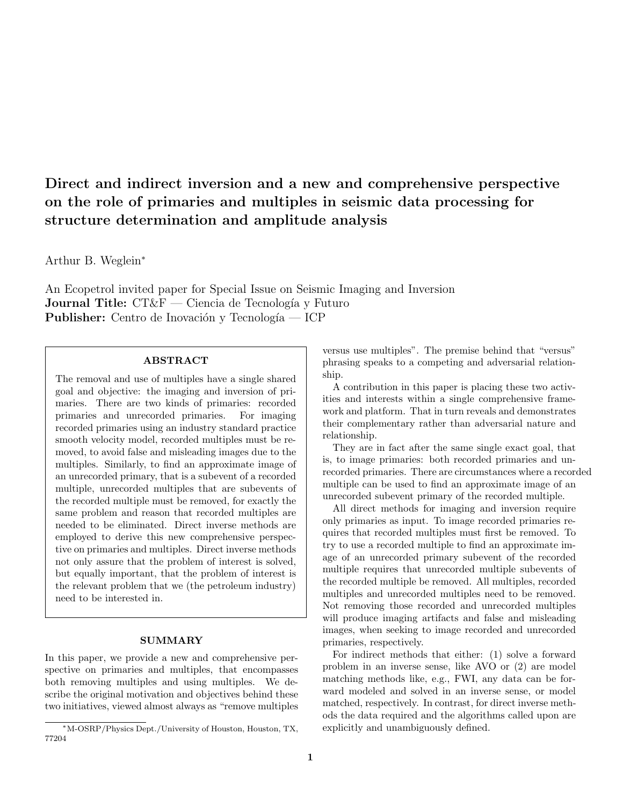# Direct and indirect inversion and a new and comprehensive perspective on the role of primaries and multiples in seismic data processing for structure determination and amplitude analysis

Arthur B. Weglein<sup>∗</sup>

An Ecopetrol invited paper for Special Issue on Seismic Imaging and Inversion **Journal Title:**  $CT\&F$  — Ciencia de Tecnología y Futuro Publisher: Centro de Inovación y Tecnología — ICP

## ABSTRACT

The removal and use of multiples have a single shared goal and objective: the imaging and inversion of primaries. There are two kinds of primaries: recorded primaries and unrecorded primaries. For imaging recorded primaries using an industry standard practice smooth velocity model, recorded multiples must be removed, to avoid false and misleading images due to the multiples. Similarly, to find an approximate image of an unrecorded primary, that is a subevent of a recorded multiple, unrecorded multiples that are subevents of the recorded multiple must be removed, for exactly the same problem and reason that recorded multiples are needed to be eliminated. Direct inverse methods are employed to derive this new comprehensive perspective on primaries and multiples. Direct inverse methods not only assure that the problem of interest is solved, but equally important, that the problem of interest is the relevant problem that we (the petroleum industry) need to be interested in.

#### SUMMARY

In this paper, we provide a new and comprehensive perspective on primaries and multiples, that encompasses both removing multiples and using multiples. We describe the original motivation and objectives behind these two initiatives, viewed almost always as "remove multiples

versus use multiples". The premise behind that "versus" phrasing speaks to a competing and adversarial relationship.

A contribution in this paper is placing these two activities and interests within a single comprehensive framework and platform. That in turn reveals and demonstrates their complementary rather than adversarial nature and relationship.

They are in fact after the same single exact goal, that is, to image primaries: both recorded primaries and unrecorded primaries. There are circumstances where a recorded multiple can be used to find an approximate image of an unrecorded subevent primary of the recorded multiple.

All direct methods for imaging and inversion require only primaries as input. To image recorded primaries requires that recorded multiples must first be removed. To try to use a recorded multiple to find an approximate image of an unrecorded primary subevent of the recorded multiple requires that unrecorded multiple subevents of the recorded multiple be removed. All multiples, recorded multiples and unrecorded multiples need to be removed. Not removing those recorded and unrecorded multiples will produce imaging artifacts and false and misleading images, when seeking to image recorded and unrecorded primaries, respectively.

For indirect methods that either: (1) solve a forward problem in an inverse sense, like AVO or (2) are model matching methods like, e.g., FWI, any data can be forward modeled and solved in an inverse sense, or model matched, respectively. In contrast, for direct inverse methods the data required and the algorithms called upon are explicitly and unambiguously defined.

<sup>∗</sup>M-OSRP/Physics Dept./University of Houston, Houston, TX, 77204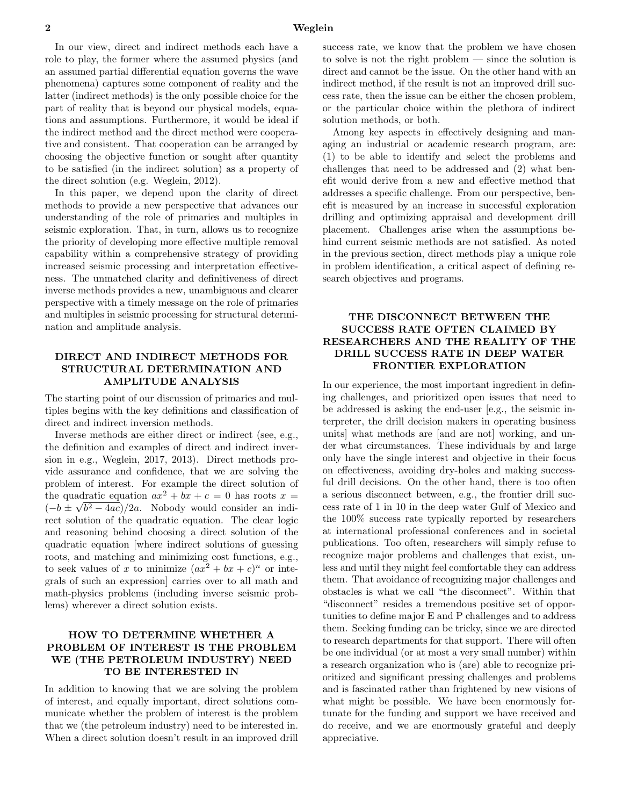In our view, direct and indirect methods each have a role to play, the former where the assumed physics (and an assumed partial differential equation governs the wave phenomena) captures some component of reality and the latter (indirect methods) is the only possible choice for the part of reality that is beyond our physical models, equations and assumptions. Furthermore, it would be ideal if the indirect method and the direct method were cooperative and consistent. That cooperation can be arranged by choosing the objective function or sought after quantity to be satisfied (in the indirect solution) as a property of the direct solution (e.g. Weglein, 2012).

In this paper, we depend upon the clarity of direct methods to provide a new perspective that advances our understanding of the role of primaries and multiples in seismic exploration. That, in turn, allows us to recognize the priority of developing more effective multiple removal capability within a comprehensive strategy of providing increased seismic processing and interpretation effectiveness. The unmatched clarity and definitiveness of direct inverse methods provides a new, unambiguous and clearer perspective with a timely message on the role of primaries and multiples in seismic processing for structural determination and amplitude analysis.

# DIRECT AND INDIRECT METHODS FOR STRUCTURAL DETERMINATION AND AMPLITUDE ANALYSIS

The starting point of our discussion of primaries and multiples begins with the key definitions and classification of direct and indirect inversion methods.

Inverse methods are either direct or indirect (see, e.g., the definition and examples of direct and indirect inversion in e.g., Weglein, 2017, 2013). Direct methods provide assurance and confidence, that we are solving the problem of interest. For example the direct solution of the quadratic equation  $ax^2 + bx + c = 0$  has roots  $x =$  $(-b \pm \sqrt{b^2 - 4ac})/2a$ . Nobody would consider an indirect solution of the quadratic equation. The clear logic and reasoning behind choosing a direct solution of the quadratic equation [where indirect solutions of guessing roots, and matching and minimizing cost functions, e.g., to seek values of x to minimize  $(ax^2 + bx + c)^n$  or integrals of such an expression] carries over to all math and math-physics problems (including inverse seismic problems) wherever a direct solution exists.

# HOW TO DETERMINE WHETHER A PROBLEM OF INTEREST IS THE PROBLEM WE (THE PETROLEUM INDUSTRY) NEED TO BE INTERESTED IN

In addition to knowing that we are solving the problem of interest, and equally important, direct solutions communicate whether the problem of interest is the problem that we (the petroleum industry) need to be interested in. When a direct solution doesn't result in an improved drill success rate, we know that the problem we have chosen to solve is not the right problem — since the solution is direct and cannot be the issue. On the other hand with an indirect method, if the result is not an improved drill success rate, then the issue can be either the chosen problem, or the particular choice within the plethora of indirect solution methods, or both.

Among key aspects in effectively designing and managing an industrial or academic research program, are: (1) to be able to identify and select the problems and challenges that need to be addressed and (2) what benefit would derive from a new and effective method that addresses a specific challenge. From our perspective, benefit is measured by an increase in successful exploration drilling and optimizing appraisal and development drill placement. Challenges arise when the assumptions behind current seismic methods are not satisfied. As noted in the previous section, direct methods play a unique role in problem identification, a critical aspect of defining research objectives and programs.

# THE DISCONNECT BETWEEN THE SUCCESS RATE OFTEN CLAIMED BY RESEARCHERS AND THE REALITY OF THE DRILL SUCCESS RATE IN DEEP WATER FRONTIER EXPLORATION

In our experience, the most important ingredient in defining challenges, and prioritized open issues that need to be addressed is asking the end-user [e.g., the seismic interpreter, the drill decision makers in operating business units] what methods are [and are not] working, and under what circumstances. These individuals by and large only have the single interest and objective in their focus on effectiveness, avoiding dry-holes and making successful drill decisions. On the other hand, there is too often a serious disconnect between, e.g., the frontier drill success rate of 1 in 10 in the deep water Gulf of Mexico and the 100% success rate typically reported by researchers at international professional conferences and in societal publications. Too often, researchers will simply refuse to recognize major problems and challenges that exist, unless and until they might feel comfortable they can address them. That avoidance of recognizing major challenges and obstacles is what we call "the disconnect". Within that "disconnect" resides a tremendous positive set of opportunities to define major E and P challenges and to address them. Seeking funding can be tricky, since we are directed to research departments for that support. There will often be one individual (or at most a very small number) within a research organization who is (are) able to recognize prioritized and significant pressing challenges and problems and is fascinated rather than frightened by new visions of what might be possible. We have been enormously fortunate for the funding and support we have received and do receive, and we are enormously grateful and deeply appreciative.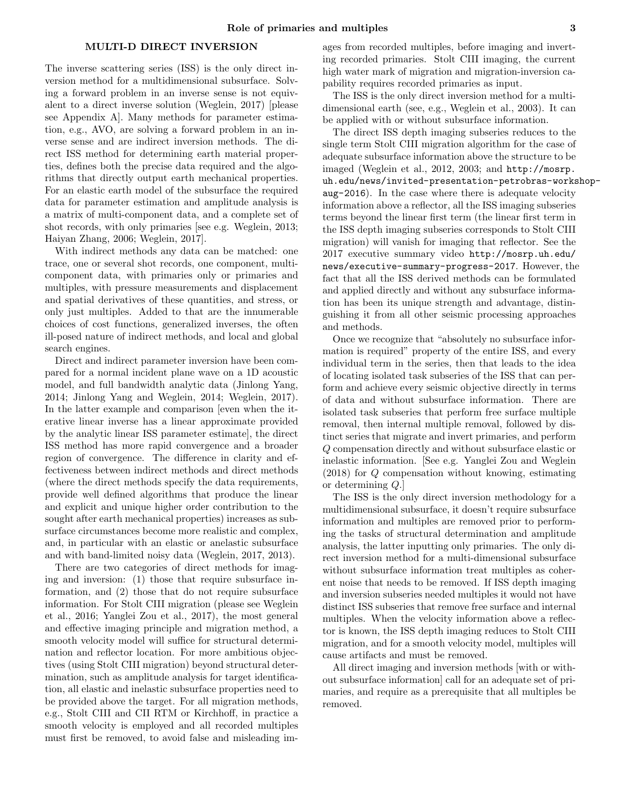#### MULTI-D DIRECT INVERSION

The inverse scattering series (ISS) is the only direct inversion method for a multidimensional subsurface. Solving a forward problem in an inverse sense is not equivalent to a direct inverse solution (Weglein, 2017) [please see Appendix A]. Many methods for parameter estimation, e.g., AVO, are solving a forward problem in an inverse sense and are indirect inversion methods. The direct ISS method for determining earth material properties, defines both the precise data required and the algorithms that directly output earth mechanical properties. For an elastic earth model of the subsurface the required data for parameter estimation and amplitude analysis is a matrix of multi-component data, and a complete set of shot records, with only primaries [see e.g. Weglein, 2013; Haiyan Zhang, 2006; Weglein, 2017].

With indirect methods any data can be matched: one trace, one or several shot records, one component, multicomponent data, with primaries only or primaries and multiples, with pressure measurements and displacement and spatial derivatives of these quantities, and stress, or only just multiples. Added to that are the innumerable choices of cost functions, generalized inverses, the often ill-posed nature of indirect methods, and local and global search engines.

Direct and indirect parameter inversion have been compared for a normal incident plane wave on a 1D acoustic model, and full bandwidth analytic data (Jinlong Yang, 2014; Jinlong Yang and Weglein, 2014; Weglein, 2017). In the latter example and comparison [even when the iterative linear inverse has a linear approximate provided by the analytic linear ISS parameter estimate], the direct ISS method has more rapid convergence and a broader region of convergence. The difference in clarity and effectiveness between indirect methods and direct methods (where the direct methods specify the data requirements, provide well defined algorithms that produce the linear and explicit and unique higher order contribution to the sought after earth mechanical properties) increases as subsurface circumstances become more realistic and complex, and, in particular with an elastic or anelastic subsurface and with band-limited noisy data (Weglein, 2017, 2013).

There are two categories of direct methods for imaging and inversion: (1) those that require subsurface information, and (2) those that do not require subsurface information. For Stolt CIII migration (please see Weglein et al., 2016; Yanglei Zou et al., 2017), the most general and effective imaging principle and migration method, a smooth velocity model will suffice for structural determination and reflector location. For more ambitious objectives (using Stolt CIII migration) beyond structural determination, such as amplitude analysis for target identification, all elastic and inelastic subsurface properties need to be provided above the target. For all migration methods, e.g., Stolt CIII and CII RTM or Kirchhoff, in practice a smooth velocity is employed and all recorded multiples must first be removed, to avoid false and misleading im-

ages from recorded multiples, before imaging and inverting recorded primaries. Stolt CIII imaging, the current high water mark of migration and migration-inversion capability requires recorded primaries as input.

The ISS is the only direct inversion method for a multidimensional earth (see, e.g., Weglein et al., 2003). It can be applied with or without subsurface information.

The direct ISS depth imaging subseries reduces to the single term Stolt CIII migration algorithm for the case of adequate subsurface information above the structure to be imaged (Weglein et al., 2012, 2003; and http://mosrp. uh.edu/news/invited-presentation-petrobras-workshopaug-2016). In the case where there is adequate velocity information above a reflector, all the ISS imaging subseries terms beyond the linear first term (the linear first term in the ISS depth imaging subseries corresponds to Stolt CIII migration) will vanish for imaging that reflector. See the 2017 executive summary video http://mosrp.uh.edu/ news/executive-summary-progress-2017. However, the fact that all the ISS derived methods can be formulated and applied directly and without any subsurface information has been its unique strength and advantage, distinguishing it from all other seismic processing approaches and methods.

Once we recognize that "absolutely no subsurface information is required" property of the entire ISS, and every individual term in the series, then that leads to the idea of locating isolated task subseries of the ISS that can perform and achieve every seismic objective directly in terms of data and without subsurface information. There are isolated task subseries that perform free surface multiple removal, then internal multiple removal, followed by distinct series that migrate and invert primaries, and perform Q compensation directly and without subsurface elastic or inelastic information. [See e.g. Yanglei Zou and Weglein (2018) for Q compensation without knowing, estimating or determining Q.]

The ISS is the only direct inversion methodology for a multidimensional subsurface, it doesn't require subsurface information and multiples are removed prior to performing the tasks of structural determination and amplitude analysis, the latter inputting only primaries. The only direct inversion method for a multi-dimensional subsurface without subsurface information treat multiples as coherent noise that needs to be removed. If ISS depth imaging and inversion subseries needed multiples it would not have distinct ISS subseries that remove free surface and internal multiples. When the velocity information above a reflector is known, the ISS depth imaging reduces to Stolt CIII migration, and for a smooth velocity model, multiples will cause artifacts and must be removed.

All direct imaging and inversion methods [with or without subsurface information] call for an adequate set of primaries, and require as a prerequisite that all multiples be removed.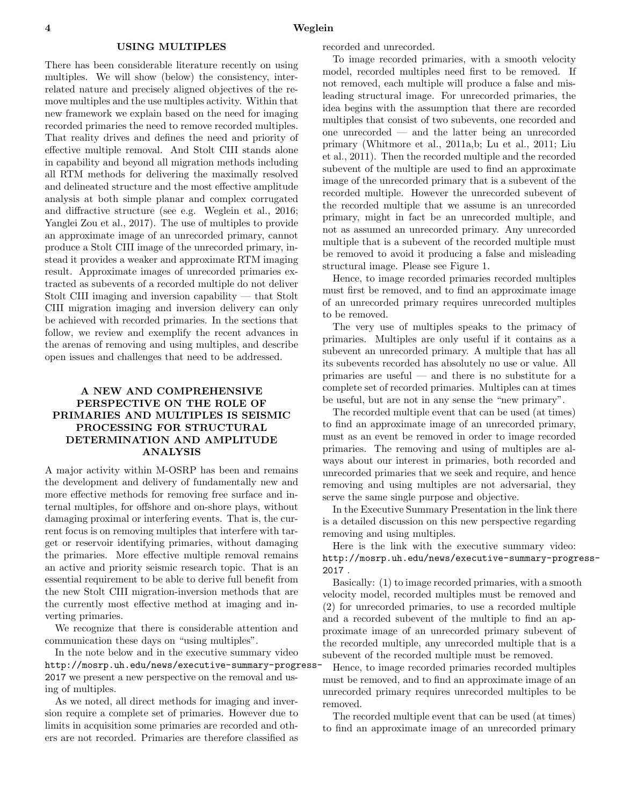#### USING MULTIPLES

There has been considerable literature recently on using multiples. We will show (below) the consistency, interrelated nature and precisely aligned objectives of the remove multiples and the use multiples activity. Within that new framework we explain based on the need for imaging recorded primaries the need to remove recorded multiples. That reality drives and defines the need and priority of effective multiple removal. And Stolt CIII stands alone in capability and beyond all migration methods including all RTM methods for delivering the maximally resolved and delineated structure and the most effective amplitude analysis at both simple planar and complex corrugated and diffractive structure (see e.g. Weglein et al., 2016; Yanglei Zou et al., 2017). The use of multiples to provide an approximate image of an unrecorded primary, cannot produce a Stolt CIII image of the unrecorded primary, instead it provides a weaker and approximate RTM imaging result. Approximate images of unrecorded primaries extracted as subevents of a recorded multiple do not deliver Stolt CIII imaging and inversion capability — that Stolt CIII migration imaging and inversion delivery can only be achieved with recorded primaries. In the sections that follow, we review and exemplify the recent advances in the arenas of removing and using multiples, and describe open issues and challenges that need to be addressed.

# A NEW AND COMPREHENSIVE PERSPECTIVE ON THE ROLE OF PRIMARIES AND MULTIPLES IS SEISMIC PROCESSING FOR STRUCTURAL DETERMINATION AND AMPLITUDE ANALYSIS

A major activity within M-OSRP has been and remains the development and delivery of fundamentally new and more effective methods for removing free surface and internal multiples, for offshore and on-shore plays, without damaging proximal or interfering events. That is, the current focus is on removing multiples that interfere with target or reservoir identifying primaries, without damaging the primaries. More effective multiple removal remains an active and priority seismic research topic. That is an essential requirement to be able to derive full benefit from the new Stolt CIII migration-inversion methods that are the currently most effective method at imaging and inverting primaries.

We recognize that there is considerable attention and communication these days on "using multiples".

In the note below and in the executive summary video http://mosrp.uh.edu/news/executive-summary-progress-2017 we present a new perspective on the removal and using of multiples.

As we noted, all direct methods for imaging and inversion require a complete set of primaries. However due to limits in acquisition some primaries are recorded and others are not recorded. Primaries are therefore classified as

recorded and unrecorded.

To image recorded primaries, with a smooth velocity model, recorded multiples need first to be removed. If not removed, each multiple will produce a false and misleading structural image. For unrecorded primaries, the idea begins with the assumption that there are recorded multiples that consist of two subevents, one recorded and one unrecorded — and the latter being an unrecorded primary (Whitmore et al., 2011a,b; Lu et al., 2011; Liu et al., 2011). Then the recorded multiple and the recorded subevent of the multiple are used to find an approximate image of the unrecorded primary that is a subevent of the recorded multiple. However the unrecorded subevent of the recorded multiple that we assume is an unrecorded primary, might in fact be an unrecorded multiple, and not as assumed an unrecorded primary. Any unrecorded multiple that is a subevent of the recorded multiple must be removed to avoid it producing a false and misleading structural image. Please see Figure 1.

Hence, to image recorded primaries recorded multiples must first be removed, and to find an approximate image of an unrecorded primary requires unrecorded multiples to be removed.

The very use of multiples speaks to the primacy of primaries. Multiples are only useful if it contains as a subevent an unrecorded primary. A multiple that has all its subevents recorded has absolutely no use or value. All primaries are useful — and there is no substitute for a complete set of recorded primaries. Multiples can at times be useful, but are not in any sense the "new primary".

The recorded multiple event that can be used (at times) to find an approximate image of an unrecorded primary, must as an event be removed in order to image recorded primaries. The removing and using of multiples are always about our interest in primaries, both recorded and unrecorded primaries that we seek and require, and hence removing and using multiples are not adversarial, they serve the same single purpose and objective.

In the Executive Summary Presentation in the link there is a detailed discussion on this new perspective regarding removing and using multiples.

Here is the link with the executive summary video: http://mosrp.uh.edu/news/executive-summary-progress-2017 .

Basically: (1) to image recorded primaries, with a smooth velocity model, recorded multiples must be removed and (2) for unrecorded primaries, to use a recorded multiple and a recorded subevent of the multiple to find an approximate image of an unrecorded primary subevent of the recorded multiple, any unrecorded multiple that is a subevent of the recorded multiple must be removed.

Hence, to image recorded primaries recorded multiples must be removed, and to find an approximate image of an unrecorded primary requires unrecorded multiples to be removed.

The recorded multiple event that can be used (at times) to find an approximate image of an unrecorded primary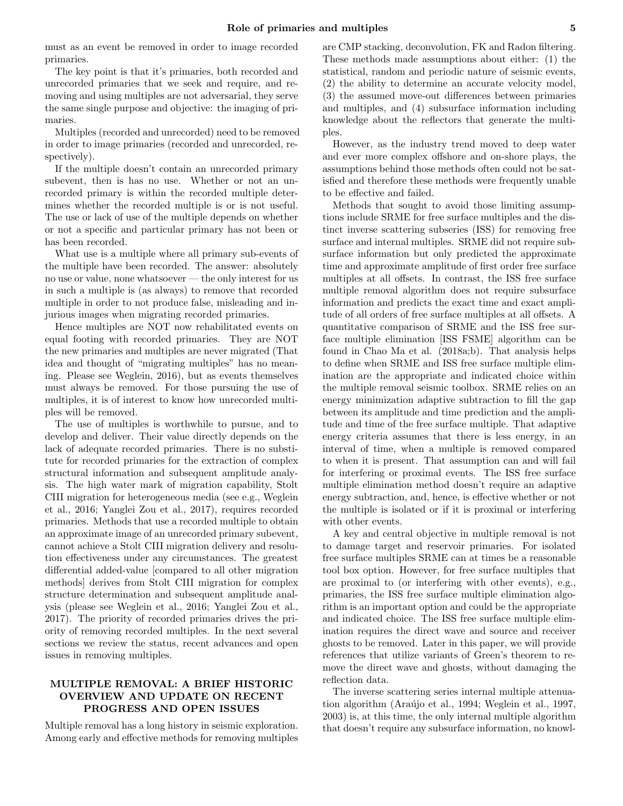must as an event be removed in order to image recorded primaries.

The key point is that it's primaries, both recorded and unrecorded primaries that we seek and require, and removing and using multiples are not adversarial, they serve the same single purpose and objective: the imaging of primaries.

Multiples (recorded and unrecorded) need to be removed in order to image primaries (recorded and unrecorded, respectively).

If the multiple doesn't contain an unrecorded primary subevent, then is has no use. Whether or not an unrecorded primary is within the recorded multiple determines whether the recorded multiple is or is not useful. The use or lack of use of the multiple depends on whether or not a specific and particular primary has not been or has been recorded.

What use is a multiple where all primary sub-events of the multiple have been recorded. The answer: absolutely no use or value, none whatsoever — the only interest for us in such a multiple is (as always) to remove that recorded multiple in order to not produce false, misleading and injurious images when migrating recorded primaries.

Hence multiples are NOT now rehabilitated events on equal footing with recorded primaries. They are NOT the new primaries and multiples are never migrated (That idea and thought of "migrating multiples" has no meaning. Please see Weglein, 2016), but as events themselves must always be removed. For those pursuing the use of multiples, it is of interest to know how unrecorded multiples will be removed.

The use of multiples is worthwhile to pursue, and to develop and deliver. Their value directly depends on the lack of adequate recorded primaries. There is no substitute for recorded primaries for the extraction of complex structural information and subsequent amplitude analysis. The high water mark of migration capability, Stolt CIII migration for heterogeneous media (see e.g., Weglein et al., 2016; Yanglei Zou et al., 2017), requires recorded primaries. Methods that use a recorded multiple to obtain an approximate image of an unrecorded primary subevent, cannot achieve a Stolt CIII migration delivery and resolution effectiveness under any circumstances. The greatest differential added-value [compared to all other migration methods] derives from Stolt CIII migration for complex structure determination and subsequent amplitude analysis (please see Weglein et al., 2016; Yanglei Zou et al., 2017). The priority of recorded primaries drives the priority of removing recorded multiples. In the next several sections we review the status, recent advances and open issues in removing multiples.

# MULTIPLE REMOVAL: A BRIEF HISTORIC OVERVIEW AND UPDATE ON RECENT PROGRESS AND OPEN ISSUES

Multiple removal has a long history in seismic exploration. Among early and effective methods for removing multiples are CMP stacking, deconvolution, FK and Radon filtering. These methods made assumptions about either: (1) the statistical, random and periodic nature of seismic events, (2) the ability to determine an accurate velocity model, (3) the assumed move-out differences between primaries and multiples, and (4) subsurface information including knowledge about the reflectors that generate the multiples.

However, as the industry trend moved to deep water and ever more complex offshore and on-shore plays, the assumptions behind those methods often could not be satisfied and therefore these methods were frequently unable to be effective and failed.

Methods that sought to avoid those limiting assumptions include SRME for free surface multiples and the distinct inverse scattering subseries (ISS) for removing free surface and internal multiples. SRME did not require subsurface information but only predicted the approximate time and approximate amplitude of first order free surface multiples at all offsets. In contrast, the ISS free surface multiple removal algorithm does not require subsurface information and predicts the exact time and exact amplitude of all orders of free surface multiples at all offsets. A quantitative comparison of SRME and the ISS free surface multiple elimination [ISS FSME] algorithm can be found in Chao Ma et al. (2018a;b). That analysis helps to define when SRME and ISS free surface multiple elimination are the appropriate and indicated choice within the multiple removal seismic toolbox. SRME relies on an energy minimization adaptive subtraction to fill the gap between its amplitude and time prediction and the amplitude and time of the free surface multiple. That adaptive energy criteria assumes that there is less energy, in an interval of time, when a multiple is removed compared to when it is present. That assumption can and will fail for interfering or proximal events. The ISS free surface multiple elimination method doesn't require an adaptive energy subtraction, and, hence, is effective whether or not the multiple is isolated or if it is proximal or interfering with other events.

A key and central objective in multiple removal is not to damage target and reservoir primaries. For isolated free surface multiples SRME can at times be a reasonable tool box option. However, for free surface multiples that are proximal to (or interfering with other events), e.g., primaries, the ISS free surface multiple elimination algorithm is an important option and could be the appropriate and indicated choice. The ISS free surface multiple elimination requires the direct wave and source and receiver ghosts to be removed. Later in this paper, we will provide references that utilize variants of Green's theorem to remove the direct wave and ghosts, without damaging the reflection data.

The inverse scattering series internal multiple attenuation algorithm (Araújo et al., 1994; Weglein et al., 1997, 2003) is, at this time, the only internal multiple algorithm that doesn't require any subsurface information, no knowl-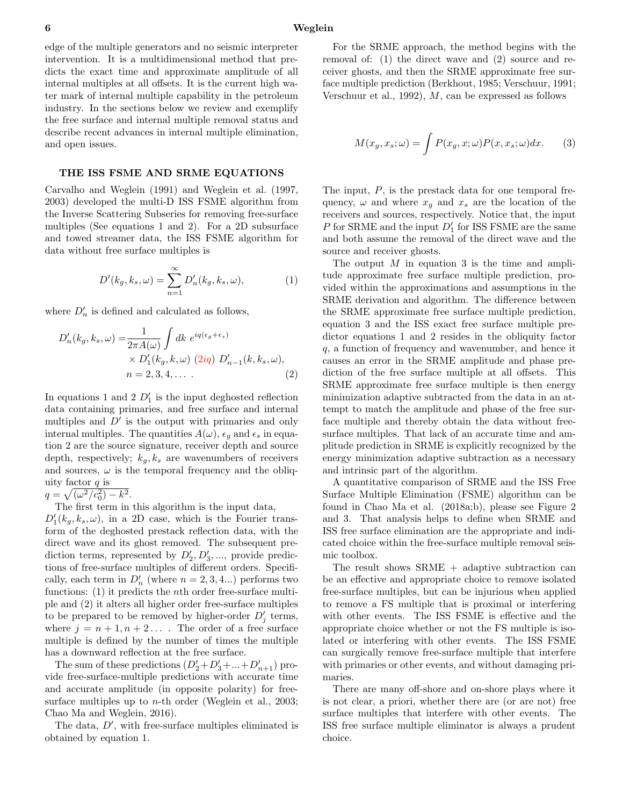edge of the multiple generators and no seismic interpreter intervention. It is a multidimensional method that predicts the exact time and approximate amplitude of all internal multiples at all offsets. It is the current high water mark of internal multiple capability in the petroleum industry. In the sections below we review and exemplify the free surface and internal multiple removal status and describe recent advances in internal multiple elimination, and open issues.

# THE ISS FSME AND SRME EQUATIONS

Carvalho and Weglein (1991) and Weglein et al. (1997, 2003) developed the multi-D ISS FSME algorithm from the Inverse Scattering Subseries for removing free-surface multiples (See equations 1 and 2). For a 2D subsurface and towed streamer data, the ISS FSME algorithm for data without free surface multiples is

$$
D'(k_g, k_s, \omega) = \sum_{n=1}^{\infty} D'_n(k_g, k_s, \omega), \qquad (1)
$$

where  $D'_n$  is defined and calculated as follows,

$$
D'_{n}(k_g, k_s, \omega) = \frac{1}{2\pi A(\omega)} \int dk \ e^{iq(\epsilon_g + \epsilon_s)}
$$
  
 
$$
\times D'_{1}(k_g, k, \omega) \ (2iq) \ D'_{n-1}(k, k_s, \omega),
$$
  
\n
$$
n = 2, 3, 4, \dots
$$
 (2)

In equations 1 and 2  $D_1'$  is the input deghosted reflection data containing primaries, and free surface and internal multiples and  $D'$  is the output with primaries and only internal multiples. The quantities  $A(\omega)$ ,  $\epsilon_q$  and  $\epsilon_s$  in equation 2 are the source signature, receiver depth and source depth, respectively;  $k_q, k_s$  are wavenumbers of receivers and sources,  $\omega$  is the temporal frequency and the obliquity factor  $q$  is

 $q = \sqrt{(\omega^2/c_0^2) - k^2}.$ 

The first term in this algorithm is the input data,

 $D'_{1}(k_g, k_s, \omega)$ , in a 2D case, which is the Fourier transform of the deghosted prestack reflection data, with the direct wave and its ghost removed. The subsequent prediction terms, represented by  $D'_2, D'_3, \dots$ , provide predictions of free-surface multiples of different orders. Specifically, each term in  $D'_n$  (where  $n = 2, 3, 4...$ ) performs two functions: (1) it predicts the *n*th order free-surface multiple and (2) it alters all higher order free-surface multiples to be prepared to be removed by higher-order  $D'_j$  terms, where  $j = n + 1, n + 2...$  The order of a free surface multiple is defined by the number of times the multiple has a downward reflection at the free surface.

The sum of these predictions  $(D'_2 + D'_3 + \dots + D'_{n+1})$  provide free-surface-multiple predictions with accurate time and accurate amplitude (in opposite polarity) for freesurface multiples up to *n*-th order (Weglein et al., 2003; Chao Ma and Weglein, 2016).

The data,  $D'$ , with free-surface multiples eliminated is obtained by equation 1.

For the SRME approach, the method begins with the removal of: (1) the direct wave and (2) source and receiver ghosts, and then the SRME approximate free surface multiple prediction (Berkhout, 1985; Verschuur, 1991; Verschuur et al., 1992), M, can be expressed as follows

$$
M(x_g, x_s; \omega) = \int P(x_g, x; \omega) P(x, x_s; \omega) dx.
$$
 (3)

The input, P, is the prestack data for one temporal frequency,  $\omega$  and where  $x_g$  and  $x_s$  are the location of the receivers and sources, respectively. Notice that, the input  $P$  for SRME and the input  $D'_1$  for ISS FSME are the same and both assume the removal of the direct wave and the source and receiver ghosts.

The output  $M$  in equation 3 is the time and amplitude approximate free surface multiple prediction, provided within the approximations and assumptions in the SRME derivation and algorithm. The difference between the SRME approximate free surface multiple prediction, equation 3 and the ISS exact free surface multiple predictor equations 1 and 2 resides in the obliquity factor q, a function of frequency and wavenumber, and hence it causes an error in the SRME amplitude and phase prediction of the free surface multiple at all offsets. This SRME approximate free surface multiple is then energy minimization adaptive subtracted from the data in an attempt to match the amplitude and phase of the free surface multiple and thereby obtain the data without freesurface multiples. That lack of an accurate time and amplitude prediction in SRME is explicitly recognized by the energy minimization adaptive subtraction as a necessary and intrinsic part of the algorithm.

A quantitative comparison of SRME and the ISS Free Surface Multiple Elimination (FSME) algorithm can be found in Chao Ma et al. (2018a;b), please see Figure 2 and 3. That analysis helps to define when SRME and ISS free surface elimination are the appropriate and indicated choice within the free-surface multiple removal seismic toolbox.

The result shows SRME + adaptive subtraction can be an effective and appropriate choice to remove isolated free-surface multiples, but can be injurious when applied to remove a FS multiple that is proximal or interfering with other events. The ISS FSME is effective and the appropriate choice whether or not the FS multiple is isolated or interfering with other events. The ISS FSME can surgically remove free-surface multiple that interfere with primaries or other events, and without damaging primaries.

There are many off-shore and on-shore plays where it is not clear, a priori, whether there are (or are not) free surface multiples that interfere with other events. The ISS free surface multiple eliminator is always a prudent choice.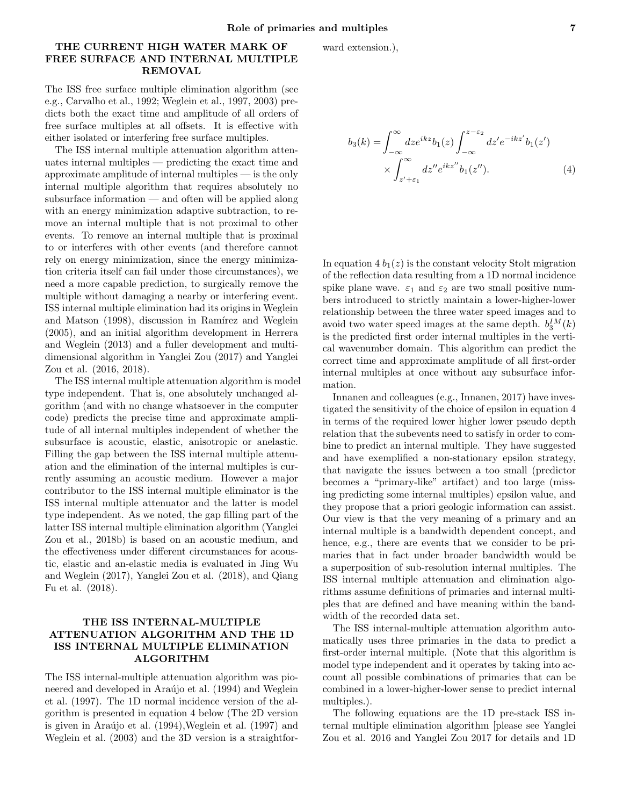# THE CURRENT HIGH WATER MARK OF FREE SURFACE AND INTERNAL MULTIPLE REMOVAL

The ISS free surface multiple elimination algorithm (see e.g., Carvalho et al., 1992; Weglein et al., 1997, 2003) predicts both the exact time and amplitude of all orders of free surface multiples at all offsets. It is effective with either isolated or interfering free surface multiples.

The ISS internal multiple attenuation algorithm attenuates internal multiples — predicting the exact time and approximate amplitude of internal multiples — is the only internal multiple algorithm that requires absolutely no subsurface information — and often will be applied along with an energy minimization adaptive subtraction, to remove an internal multiple that is not proximal to other events. To remove an internal multiple that is proximal to or interferes with other events (and therefore cannot rely on energy minimization, since the energy minimization criteria itself can fail under those circumstances), we need a more capable prediction, to surgically remove the multiple without damaging a nearby or interfering event. ISS internal multiple elimination had its origins in Weglein and Matson (1998), discussion in Ramírez and Weglein (2005), and an initial algorithm development in Herrera and Weglein (2013) and a fuller development and multidimensional algorithm in Yanglei Zou (2017) and Yanglei Zou et al. (2016, 2018).

The ISS internal multiple attenuation algorithm is model type independent. That is, one absolutely unchanged algorithm (and with no change whatsoever in the computer code) predicts the precise time and approximate amplitude of all internal multiples independent of whether the subsurface is acoustic, elastic, anisotropic or anelastic. Filling the gap between the ISS internal multiple attenuation and the elimination of the internal multiples is currently assuming an acoustic medium. However a major contributor to the ISS internal multiple eliminator is the ISS internal multiple attenuator and the latter is model type independent. As we noted, the gap filling part of the latter ISS internal multiple elimination algorithm (Yanglei Zou et al., 2018b) is based on an acoustic medium, and the effectiveness under different circumstances for acoustic, elastic and an-elastic media is evaluated in Jing Wu and Weglein (2017), Yanglei Zou et al. (2018), and Qiang Fu et al. (2018).

# THE ISS INTERNAL-MULTIPLE ATTENUATION ALGORITHM AND THE 1D ISS INTERNAL MULTIPLE ELIMINATION ALGORITHM

The ISS internal-multiple attenuation algorithm was pioneered and developed in Araújo et al. (1994) and Weglein et al. (1997). The 1D normal incidence version of the algorithm is presented in equation 4 below (The 2D version is given in Ara $\tilde{u}$ jo et al. (1994), Weglein et al. (1997) and Weglein et al. (2003) and the 3D version is a straightforward extension.),

$$
b_3(k) = \int_{-\infty}^{\infty} dz e^{ikz} b_1(z) \int_{-\infty}^{z-\varepsilon_2} dz' e^{-ikz'} b_1(z')
$$
  
 
$$
\times \int_{z'+\varepsilon_1}^{\infty} dz'' e^{ikz''} b_1(z''). \tag{4}
$$

In equation  $4 b_1(z)$  is the constant velocity Stolt migration of the reflection data resulting from a 1D normal incidence spike plane wave.  $\varepsilon_1$  and  $\varepsilon_2$  are two small positive numbers introduced to strictly maintain a lower-higher-lower relationship between the three water speed images and to avoid two water speed images at the same depth.  $b_3^{IM}(k)$ is the predicted first order internal multiples in the vertical wavenumber domain. This algorithm can predict the correct time and approximate amplitude of all first-order internal multiples at once without any subsurface information.

Innanen and colleagues (e.g., Innanen, 2017) have investigated the sensitivity of the choice of epsilon in equation 4 in terms of the required lower higher lower pseudo depth relation that the subevents need to satisfy in order to combine to predict an internal multiple. They have suggested and have exemplified a non-stationary epsilon strategy, that navigate the issues between a too small (predictor becomes a "primary-like" artifact) and too large (missing predicting some internal multiples) epsilon value, and they propose that a priori geologic information can assist. Our view is that the very meaning of a primary and an internal multiple is a bandwidth dependent concept, and hence, e.g., there are events that we consider to be primaries that in fact under broader bandwidth would be a superposition of sub-resolution internal multiples. The ISS internal multiple attenuation and elimination algorithms assume definitions of primaries and internal multiples that are defined and have meaning within the bandwidth of the recorded data set.

The ISS internal-multiple attenuation algorithm automatically uses three primaries in the data to predict a first-order internal multiple. (Note that this algorithm is model type independent and it operates by taking into account all possible combinations of primaries that can be combined in a lower-higher-lower sense to predict internal multiples.).

The following equations are the 1D pre-stack ISS internal multiple elimination algorithm [please see Yanglei Zou et al. 2016 and Yanglei Zou 2017 for details and 1D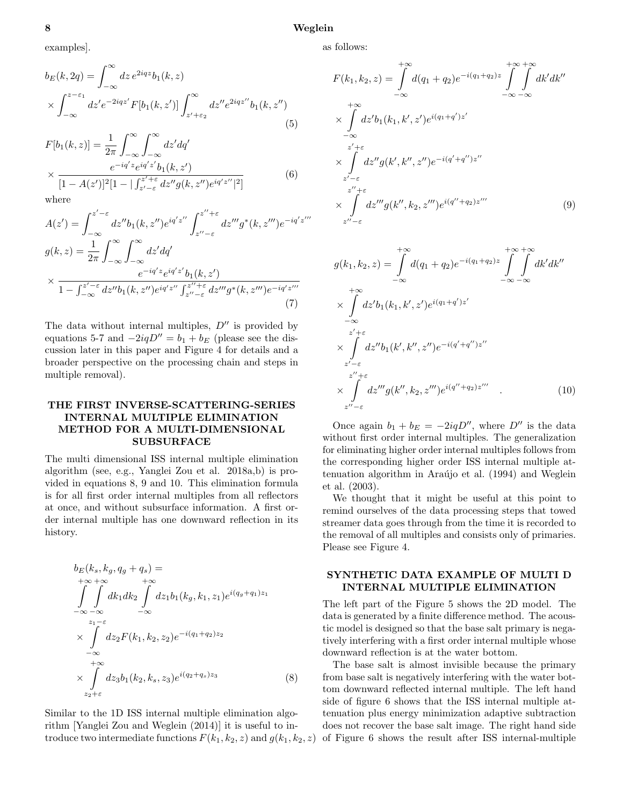#### 8 Weglein

as follows:

$$
b_E(k, 2q) = \int_{-\infty}^{\infty} dz \, e^{2iqz} b_1(k, z)
$$

$$
\times \int_{-\infty}^{z-\varepsilon_1} dz' e^{-2iqz'} F[b_1(k, z')] \int_{z'+\varepsilon_2}^{\infty} dz'' e^{2iqz''} b_1(k, z'')
$$
(5)

$$
F[b_1(k, z)] = \frac{1}{2\pi} \int_{-\infty}^{\infty} \int_{-\infty}^{\infty} dz' dq'
$$
  
 
$$
\times \frac{e^{-iq'z} e^{iq'z'} b_1(k, z')}{[1 - A(z')]^2 [1 - |\int_{z' - \varepsilon}^{z' + \varepsilon} dz'' g(k, z'') e^{iq'z''}|^2]}
$$
(6)

where

$$
A(z') = \int_{-\infty}^{z'-\epsilon} dz'' b_1(k, z'') e^{iq'z''} \int_{z''-\epsilon}^{z''+\epsilon} dz''' g^*(k, z''') e^{-iq'z'''}
$$
  
\n
$$
g(k, z) = \frac{1}{2\pi} \int_{-\infty}^{\infty} \int_{-\infty}^{\infty} dz' dq'
$$
  
\n
$$
\times \frac{e^{-iq'z} e^{iq'z'} b_1(k, z')}{1 - \int_{-\infty}^{z'-\epsilon} dz'' b_1(k, z'') e^{iq'z''} \int_{z''-\epsilon}^{z''+\epsilon} dz''' g^*(k, z''') e^{-iq'z'''}
$$
\n(7)

The data without internal multiples,  $D''$  is provided by equations 5-7 and  $-2iqD'' = b_1 + b_E$  (please see the discussion later in this paper and Figure 4 for details and a broader perspective on the processing chain and steps in multiple removal).

# THE FIRST INVERSE-SCATTERING-SERIES INTERNAL MULTIPLE ELIMINATION METHOD FOR A MULTI-DIMENSIONAL SUBSURFACE

The multi dimensional ISS internal multiple elimination algorithm (see, e.g., Yanglei Zou et al. 2018a,b) is provided in equations 8, 9 and 10. This elimination formula is for all first order internal multiples from all reflectors at once, and without subsurface information. A first order internal multiple has one downward reflection in its history.

$$
b_{E}(k_{s}, k_{g}, q_{g} + q_{s}) =
$$
  
\n
$$
\int_{-\infty}^{+\infty} \int_{-\infty}^{+\infty} dk_{1} dk_{2} \int_{-\infty}^{+\infty} dz_{1} b_{1}(k_{g}, k_{1}, z_{1}) e^{i(q_{g} + q_{1})z_{1}}
$$
  
\n
$$
\times \int_{-\infty}^{z_{1} - \varepsilon} dz_{2} F(k_{1}, k_{2}, z_{2}) e^{-i(q_{1} + q_{2})z_{2}}
$$
  
\n
$$
\times \int_{-\infty}^{+\infty} dz_{3} b_{1}(k_{2}, k_{s}, z_{3}) e^{i(q_{2} + q_{s})z_{3}}
$$
(8)

Similar to the 1D ISS internal multiple elimination algorithm [Yanglei Zou and Weglein (2014)] it is useful to introduce two intermediate functions  $F(k_1, k_2, z)$  and  $g(k_1, k_2, z)$ 

$$
F(k_1, k_2, z) = \int_{-\infty}^{+\infty} d(q_1 + q_2) e^{-i(q_1 + q_2)z} \int_{-\infty}^{+\infty} \int_{-\infty}^{+\infty} dk' dk''
$$
  
\n
$$
\times \int_{-\infty}^{+\infty} dz' b_1(k_1, k', z') e^{i(q_1 + q')z'}
$$
  
\n
$$
\times \int_{z'-\varepsilon}^{z'+\varepsilon} dz'' g(k', k'', z'') e^{-i(q'+q'')z''}
$$
  
\n
$$
\times \int_{z''-\varepsilon}^{z''+\varepsilon} dz''' g(k'', k_2, z''') e^{i(q''+q_2)z'''}
$$
(9)

$$
g(k_1, k_2, z) = \int_{-\infty}^{+\infty} d(q_1 + q_2) e^{-i(q_1 + q_2)z} \int_{-\infty}^{+\infty} \int_{-\infty}^{+\infty} dk' dk''
$$
  
\n
$$
\times \int_{-\infty}^{+\infty} dz' b_1(k_1, k', z') e^{i(q_1 + q')z'}
$$
  
\n
$$
\times \int_{z'-\varepsilon}^{z'+\varepsilon} dz'' b_1(k', k'', z'') e^{-i(q'+q'')z''}
$$
  
\n
$$
\times \int_{z''-\varepsilon}^{z''+\varepsilon} dz''' g(k'', k_2, z''') e^{i(q''+q_2)z'''}
$$
 (10)

Once again  $b_1 + b_E = -2iqD''$ , where D'' is the data without first order internal multiples. The generalization for eliminating higher order internal multiples follows from the corresponding higher order ISS internal multiple attenuation algorithm in Araújo et al. (1994) and Weglein et al. (2003).

We thought that it might be useful at this point to remind ourselves of the data processing steps that towed streamer data goes through from the time it is recorded to the removal of all multiples and consists only of primaries. Please see Figure 4.

## SYNTHETIC DATA EXAMPLE OF MULTI D INTERNAL MULTIPLE ELIMINATION

The left part of the Figure 5 shows the 2D model. The data is generated by a finite difference method. The acoustic model is designed so that the base salt primary is negatively interfering with a first order internal multiple whose downward reflection is at the water bottom.

The base salt is almost invisible because the primary from base salt is negatively interfering with the water bottom downward reflected internal multiple. The left hand side of figure 6 shows that the ISS internal multiple attenuation plus energy minimization adaptive subtraction does not recover the base salt image. The right hand side of Figure 6 shows the result after ISS internal-multiple

examples].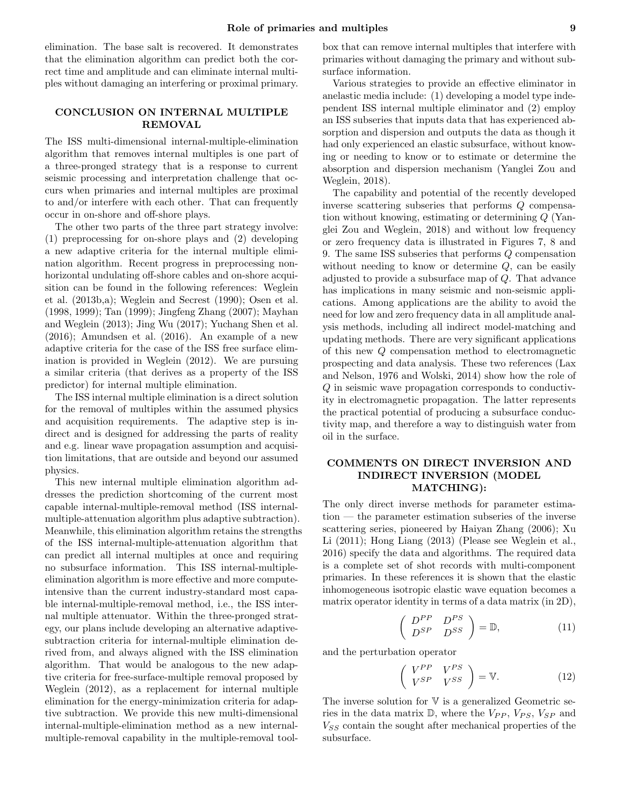elimination. The base salt is recovered. It demonstrates that the elimination algorithm can predict both the correct time and amplitude and can eliminate internal multiples without damaging an interfering or proximal primary.

## CONCLUSION ON INTERNAL MULTIPLE REMOVAL

The ISS multi-dimensional internal-multiple-elimination algorithm that removes internal multiples is one part of a three-pronged strategy that is a response to current seismic processing and interpretation challenge that occurs when primaries and internal multiples are proximal to and/or interfere with each other. That can frequently occur in on-shore and off-shore plays.

The other two parts of the three part strategy involve: (1) preprocessing for on-shore plays and (2) developing a new adaptive criteria for the internal multiple elimination algorithm. Recent progress in preprocessing nonhorizontal undulating off-shore cables and on-shore acquisition can be found in the following references: Weglein et al. (2013b,a); Weglein and Secrest (1990); Osen et al. (1998, 1999); Tan (1999); Jingfeng Zhang (2007); Mayhan and Weglein (2013); Jing Wu (2017); Yuchang Shen et al. (2016); Amundsen et al. (2016). An example of a new adaptive criteria for the case of the ISS free surface elimination is provided in Weglein (2012). We are pursuing a similar criteria (that derives as a property of the ISS predictor) for internal multiple elimination.

The ISS internal multiple elimination is a direct solution for the removal of multiples within the assumed physics and acquisition requirements. The adaptive step is indirect and is designed for addressing the parts of reality and e.g. linear wave propagation assumption and acquisition limitations, that are outside and beyond our assumed physics.

This new internal multiple elimination algorithm addresses the prediction shortcoming of the current most capable internal-multiple-removal method (ISS internalmultiple-attenuation algorithm plus adaptive subtraction). Meanwhile, this elimination algorithm retains the strengths of the ISS internal-multiple-attenuation algorithm that can predict all internal multiples at once and requiring no subsurface information. This ISS internal-multipleelimination algorithm is more effective and more computeintensive than the current industry-standard most capable internal-multiple-removal method, i.e., the ISS internal multiple attenuator. Within the three-pronged strategy, our plans include developing an alternative adaptivesubtraction criteria for internal-multiple elimination derived from, and always aligned with the ISS elimination algorithm. That would be analogous to the new adaptive criteria for free-surface-multiple removal proposed by Weglein (2012), as a replacement for internal multiple elimination for the energy-minimization criteria for adaptive subtraction. We provide this new multi-dimensional internal-multiple-elimination method as a new internalmultiple-removal capability in the multiple-removal tool-

box that can remove internal multiples that interfere with primaries without damaging the primary and without subsurface information.

Various strategies to provide an effective eliminator in anelastic media include: (1) developing a model type independent ISS internal multiple eliminator and (2) employ an ISS subseries that inputs data that has experienced absorption and dispersion and outputs the data as though it had only experienced an elastic subsurface, without knowing or needing to know or to estimate or determine the absorption and dispersion mechanism (Yanglei Zou and Weglein, 2018).

The capability and potential of the recently developed inverse scattering subseries that performs Q compensation without knowing, estimating or determining Q (Yanglei Zou and Weglein, 2018) and without low frequency or zero frequency data is illustrated in Figures 7, 8 and 9. The same ISS subseries that performs Q compensation without needing to know or determine  $Q$ , can be easily adjusted to provide a subsurface map of Q. That advance has implications in many seismic and non-seismic applications. Among applications are the ability to avoid the need for low and zero frequency data in all amplitude analysis methods, including all indirect model-matching and updating methods. There are very significant applications of this new Q compensation method to electromagnetic prospecting and data analysis. These two references (Lax and Nelson, 1976 and Wolski, 2014) show how the role of Q in seismic wave propagation corresponds to conductivity in electromagnetic propagation. The latter represents the practical potential of producing a subsurface conductivity map, and therefore a way to distinguish water from oil in the surface.

## COMMENTS ON DIRECT INVERSION AND INDIRECT INVERSION (MODEL MATCHING):

The only direct inverse methods for parameter estimation — the parameter estimation subseries of the inverse scattering series, pioneered by Haiyan Zhang (2006); Xu Li (2011); Hong Liang (2013) (Please see Weglein et al., 2016) specify the data and algorithms. The required data is a complete set of shot records with multi-component primaries. In these references it is shown that the elastic inhomogeneous isotropic elastic wave equation becomes a matrix operator identity in terms of a data matrix (in 2D),

$$
\left(\begin{array}{cc} D^{PP} & D^{PS} \\ D^{SP} & D^{SS} \end{array}\right) = \mathbb{D},\tag{11}
$$

and the perturbation operator

$$
\left(\begin{array}{cc} V^{PP} & V^{PS} \\ V^{SP} & V^{SS} \end{array}\right) = \mathbb{V}.\tag{12}
$$

The inverse solution for  $V$  is a generalized Geometric series in the data matrix  $\mathbb{D}$ , where the  $V_{PP}$ ,  $V_{PS}$ ,  $V_{SP}$  and  $V_{SS}$  contain the sought after mechanical properties of the subsurface.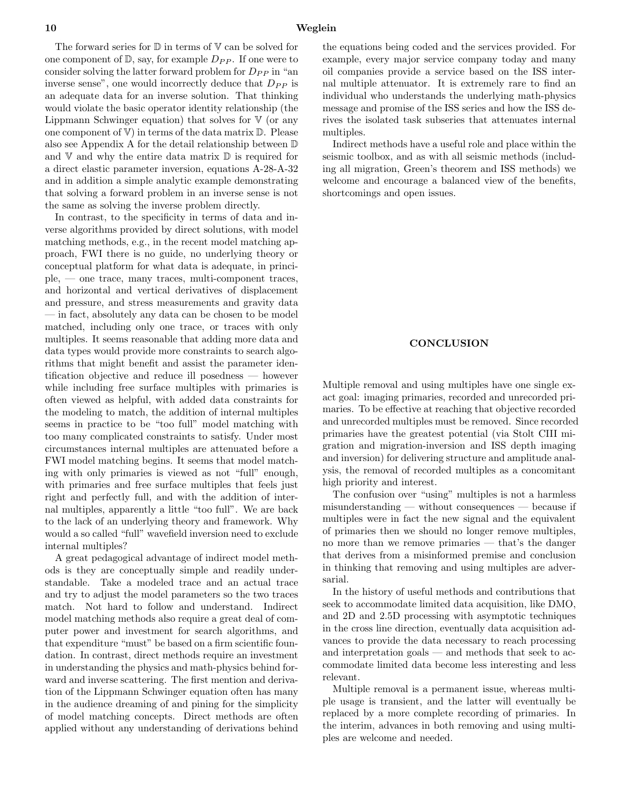The forward series for  $\mathbb D$  in terms of  $\mathbb V$  can be solved for one component of  $\mathbb{D}$ , say, for example  $D_{PP}$ . If one were to consider solving the latter forward problem for  $D_{PP}$  in "an inverse sense", one would incorrectly deduce that  $D_{PP}$  is an adequate data for an inverse solution. That thinking would violate the basic operator identity relationship (the Lippmann Schwinger equation) that solves for  $V$  (or any one component of  $V$ ) in terms of the data matrix  $D$ . Please also see Appendix A for the detail relationship between D and  $V$  and why the entire data matrix  $D$  is required for a direct elastic parameter inversion, equations A-28-A-32 and in addition a simple analytic example demonstrating that solving a forward problem in an inverse sense is not the same as solving the inverse problem directly.

In contrast, to the specificity in terms of data and inverse algorithms provided by direct solutions, with model matching methods, e.g., in the recent model matching approach, FWI there is no guide, no underlying theory or conceptual platform for what data is adequate, in principle, — one trace, many traces, multi-component traces, and horizontal and vertical derivatives of displacement and pressure, and stress measurements and gravity data — in fact, absolutely any data can be chosen to be model matched, including only one trace, or traces with only multiples. It seems reasonable that adding more data and data types would provide more constraints to search algorithms that might benefit and assist the parameter identification objective and reduce ill posedness — however while including free surface multiples with primaries is often viewed as helpful, with added data constraints for the modeling to match, the addition of internal multiples seems in practice to be "too full" model matching with too many complicated constraints to satisfy. Under most circumstances internal multiples are attenuated before a FWI model matching begins. It seems that model matching with only primaries is viewed as not "full" enough, with primaries and free surface multiples that feels just right and perfectly full, and with the addition of internal multiples, apparently a little "too full". We are back to the lack of an underlying theory and framework. Why would a so called "full" wavefield inversion need to exclude internal multiples?

A great pedagogical advantage of indirect model methods is they are conceptually simple and readily understandable. Take a modeled trace and an actual trace and try to adjust the model parameters so the two traces match. Not hard to follow and understand. Indirect model matching methods also require a great deal of computer power and investment for search algorithms, and that expenditure "must" be based on a firm scientific foundation. In contrast, direct methods require an investment in understanding the physics and math-physics behind forward and inverse scattering. The first mention and derivation of the Lippmann Schwinger equation often has many in the audience dreaming of and pining for the simplicity of model matching concepts. Direct methods are often applied without any understanding of derivations behind

the equations being coded and the services provided. For example, every major service company today and many oil companies provide a service based on the ISS internal multiple attenuator. It is extremely rare to find an individual who understands the underlying math-physics message and promise of the ISS series and how the ISS derives the isolated task subseries that attenuates internal multiples.

Indirect methods have a useful role and place within the seismic toolbox, and as with all seismic methods (including all migration, Green's theorem and ISS methods) we welcome and encourage a balanced view of the benefits, shortcomings and open issues.

#### **CONCLUSION**

Multiple removal and using multiples have one single exact goal: imaging primaries, recorded and unrecorded primaries. To be effective at reaching that objective recorded and unrecorded multiples must be removed. Since recorded primaries have the greatest potential (via Stolt CIII migration and migration-inversion and ISS depth imaging and inversion) for delivering structure and amplitude analysis, the removal of recorded multiples as a concomitant high priority and interest.

The confusion over "using" multiples is not a harmless misunderstanding — without consequences — because if multiples were in fact the new signal and the equivalent of primaries then we should no longer remove multiples, no more than we remove primaries — that's the danger that derives from a misinformed premise and conclusion in thinking that removing and using multiples are adversarial.

In the history of useful methods and contributions that seek to accommodate limited data acquisition, like DMO, and 2D and 2.5D processing with asymptotic techniques in the cross line direction, eventually data acquisition advances to provide the data necessary to reach processing and interpretation goals — and methods that seek to accommodate limited data become less interesting and less relevant.

Multiple removal is a permanent issue, whereas multiple usage is transient, and the latter will eventually be replaced by a more complete recording of primaries. In the interim, advances in both removing and using multiples are welcome and needed.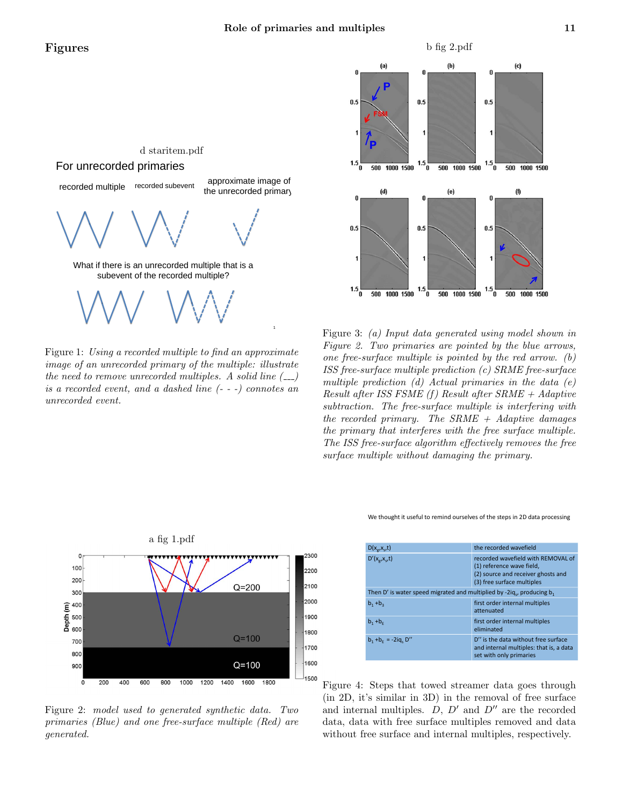# Figures



Figure 1: Using a recorded multiple to find an approximate image of an unrecorded primary of the multiple: illustrate the need to remove unrecorded multiples. A solid line  $($ <sub>--</sub> $)$ is a recorded event, and a dashed line (- - -) connotes an unrecorded event.



Figure 3: (a) Input data generated using model shown in Figure 2. Two primaries are pointed by the blue arrows, one free-surface multiple is pointed by the red arrow. (b) ISS free-surface multiple prediction (c) SRME free-surface multiple prediction  $(d)$  Actual primaries in the data  $(e)$ Result after ISS FSME  $(f)$  Result after SRME + Adaptive subtraction. The free-surface multiple is interfering with the recorded primary. The  $SRME + Adaptive\ d{\text{amages}}$ the primary that interferes with the free surface multiple. The ISS free-surface algorithm effectively removes the free surface multiple without damaging the primary.

We thought it useful to remind ourselves of the steps in 2D data processing

| $D(x_{\alpha},x_{\alpha},t)$                                                          | the recorded wavefield                                                                                                              |
|---------------------------------------------------------------------------------------|-------------------------------------------------------------------------------------------------------------------------------------|
| $D'(x_{\alpha},x_{\alpha},t)$                                                         | recorded wavefield with REMOVAL of<br>(1) reference wave field,<br>(2) source and receiver ghosts and<br>(3) free surface multiples |
| Then D' is water speed migrated and multiplied by -2iq <sub>c</sub> , producing $b_1$ |                                                                                                                                     |
| $b_1 + b_3$                                                                           | first order internal multiples<br>attenuated                                                                                        |
| $b_1 + b_5$                                                                           | first order internal multiples<br>eliminated                                                                                        |
| $b_1 + b_2 = -2iq_1 D''$                                                              | D" is the data without free surface<br>and internal multiples: that is, a data<br>set with only primaries                           |

Figure 4: Steps that towed streamer data goes through (in 2D, it's similar in 3D) in the removal of free surface and internal multiples.  $D, D'$  and  $D''$  are the recorded data, data with free surface multiples removed and data without free surface and internal multiples, respectively.



Figure 2: model used to generated synthetic data. Two primaries (Blue) and one free-surface multiple (Red) are generated.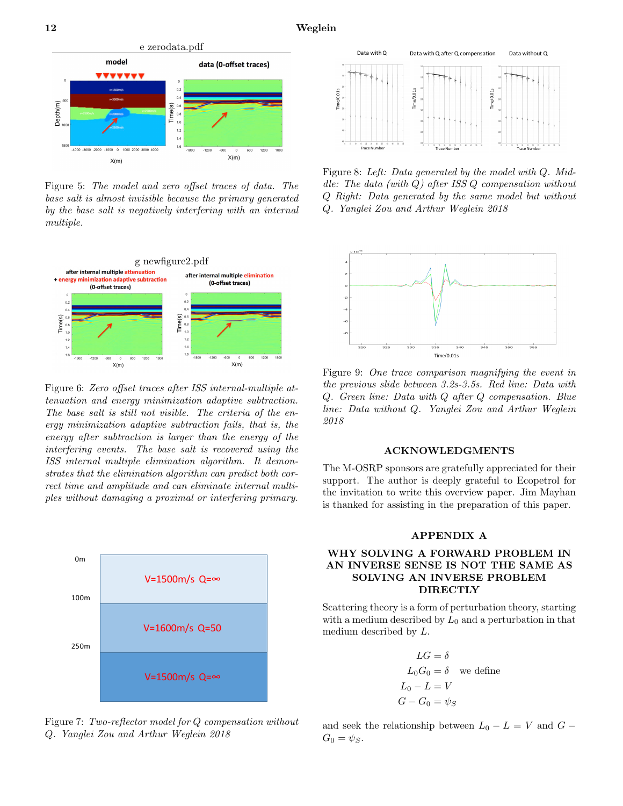

Figure 5: The model and zero offset traces of data. The base salt is almost invisible because the primary generated by the base salt is negatively interfering with an internal multiple.



Figure 6: Zero offset traces after ISS internal-multiple attenuation and energy minimization adaptive subtraction. The base salt is still not visible. The criteria of the energy minimization adaptive subtraction fails, that is, the energy after subtraction is larger than the energy of the interfering events. The base salt is recovered using the ISS internal multiple elimination algorithm. It demonstrates that the elimination algorithm can predict both correct time and amplitude and can eliminate internal multiples without damaging a proximal or interfering primary.



Figure 7: Two-reflector model for  $Q$  compensation without Q. Yanglei Zou and Arthur Weglein 2018



Figure 8: Left: Data generated by the model with  $Q$ . Middle: The data (with  $Q$ ) after ISS  $Q$  compensation without Q Right: Data generated by the same model but without Q. Yanglei Zou and Arthur Weglein 2018



Figure 9: One trace comparison magnifying the event in the previous slide between 3.2s-3.5s. Red line: Data with Q. Green line: Data with Q after Q compensation. Blue line: Data without Q. Yanglei Zou and Arthur Weglein 2018

#### ACKNOWLEDGMENTS

The M-OSRP sponsors are gratefully appreciated for their support. The author is deeply grateful to Ecopetrol for the invitation to write this overview paper. Jim Mayhan is thanked for assisting in the preparation of this paper.

## APPENDIX A

## WHY SOLVING A FORWARD PROBLEM IN AN INVERSE SENSE IS NOT THE SAME AS SOLVING AN INVERSE PROBLEM **DIRECTLY**

Scattering theory is a form of perturbation theory, starting with a medium described by  $L_0$  and a perturbation in that medium described by L.

$$
LG = \delta
$$
  
\n
$$
L_0G_0 = \delta
$$
 we define  
\n
$$
L_0 - L = V
$$
  
\n
$$
G - G_0 = \psi_S
$$

and seek the relationship between  $L_0 - L = V$  and  $G G_0 = \psi_S$ .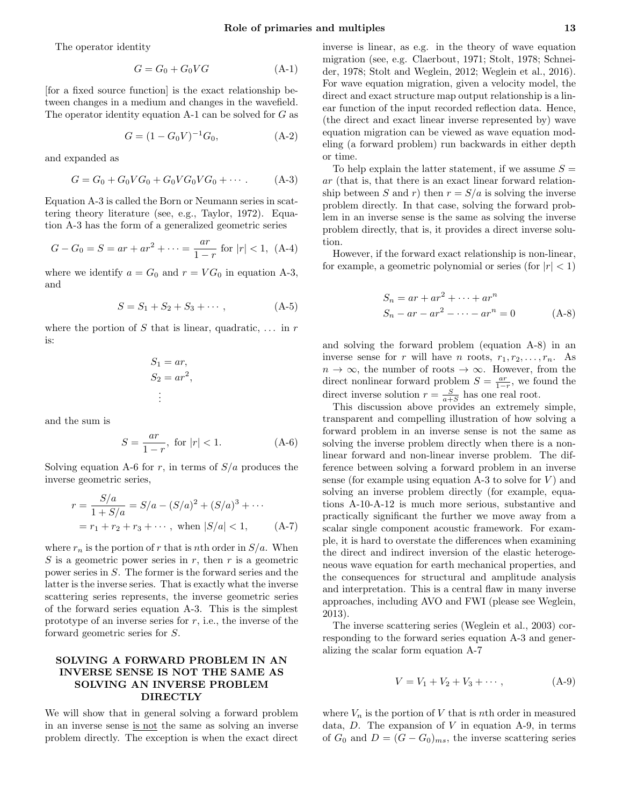The operator identity

$$
G = G_0 + G_0 V G \tag{A-1}
$$

[for a fixed source function] is the exact relationship between changes in a medium and changes in the wavefield. The operator identity equation A-1 can be solved for G as

$$
G = (1 - G_0 V)^{-1} G_0,
$$
 (A-2)

and expanded as

$$
G = G_0 + G_0 V G_0 + G_0 V G_0 V G_0 + \cdots
$$
 (A-3)

Equation A-3 is called the Born or Neumann series in scattering theory literature (see, e.g., Taylor, 1972). Equation A-3 has the form of a generalized geometric series

$$
G - G_0 = S = ar + ar^2 + \dots = \frac{ar}{1 - r} \text{ for } |r| < 1, \text{ (A-4)}
$$

where we identify  $a = G_0$  and  $r = VG_0$  in equation A-3, and

$$
S = S_1 + S_2 + S_3 + \cdots, \tag{A-5}
$$

where the portion of S that is linear, quadratic,  $\dots$  in r is:

$$
S_1 = ar,
$$
  
\n
$$
S_2 = ar^2,
$$
  
\n
$$
\vdots
$$

and the sum is

$$
S = \frac{ar}{1 - r}, \text{ for } |r| < 1. \tag{A-6}
$$

Solving equation A-6 for r, in terms of  $S/a$  produces the inverse geometric series,

$$
r = \frac{S/a}{1 + S/a} = S/a - (S/a)^2 + (S/a)^3 + \cdots
$$
  
=  $r_1 + r_2 + r_3 + \cdots$ , when  $|S/a| < 1$ , (A-7)

where  $r_n$  is the portion of r that is nth order in  $S/a$ . When S is a geometric power series in  $r$ , then  $r$  is a geometric power series in S. The former is the forward series and the latter is the inverse series. That is exactly what the inverse scattering series represents, the inverse geometric series of the forward series equation A-3. This is the simplest prototype of an inverse series for  $r$ , i.e., the inverse of the forward geometric series for S.

# SOLVING A FORWARD PROBLEM IN AN INVERSE SENSE IS NOT THE SAME AS SOLVING AN INVERSE PROBLEM DIRECTLY

We will show that in general solving a forward problem in an inverse sense is not the same as solving an inverse problem directly. The exception is when the exact direct inverse is linear, as e.g. in the theory of wave equation migration (see, e.g. Claerbout, 1971; Stolt, 1978; Schneider, 1978; Stolt and Weglein, 2012; Weglein et al., 2016). For wave equation migration, given a velocity model, the direct and exact structure map output relationship is a linear function of the input recorded reflection data. Hence, (the direct and exact linear inverse represented by) wave equation migration can be viewed as wave equation modeling (a forward problem) run backwards in either depth or time.

To help explain the latter statement, if we assume  $S =$ ar (that is, that there is an exact linear forward relationship between S and r) then  $r = S/a$  is solving the inverse problem directly. In that case, solving the forward problem in an inverse sense is the same as solving the inverse problem directly, that is, it provides a direct inverse solution.

However, if the forward exact relationship is non-linear, for example, a geometric polynomial or series (for  $|r| < 1$ )

$$
S_n = ar + ar2 + \dots + arn
$$
  
\n
$$
S_n - ar - ar2 - \dots - arn = 0
$$
 (A-8)

and solving the forward problem (equation A-8) in an inverse sense for r will have n roots,  $r_1, r_2, \ldots, r_n$ . As  $n \to \infty$ , the number of roots  $\to \infty$ . However, from the direct nonlinear forward problem  $S = \frac{ar}{1-r}$ , we found the direct inverse solution  $r = \frac{S}{a+S}$  has one real root.

This discussion above provides an extremely simple, transparent and compelling illustration of how solving a forward problem in an inverse sense is not the same as solving the inverse problem directly when there is a nonlinear forward and non-linear inverse problem. The difference between solving a forward problem in an inverse sense (for example using equation A-3 to solve for  $V$ ) and solving an inverse problem directly (for example, equations A-10-A-12 is much more serious, substantive and practically significant the further we move away from a scalar single component acoustic framework. For example, it is hard to overstate the differences when examining the direct and indirect inversion of the elastic heterogeneous wave equation for earth mechanical properties, and the consequences for structural and amplitude analysis and interpretation. This is a central flaw in many inverse approaches, including AVO and FWI (please see Weglein, 2013).

The inverse scattering series (Weglein et al., 2003) corresponding to the forward series equation A-3 and generalizing the scalar form equation A-7

$$
V = V_1 + V_2 + V_3 + \cdots, \tag{A-9}
$$

where  $V_n$  is the portion of V that is nth order in measured data,  $D$ . The expansion of  $V$  in equation A-9, in terms of  $G_0$  and  $D = (G - G_0)_{ms}$ , the inverse scattering series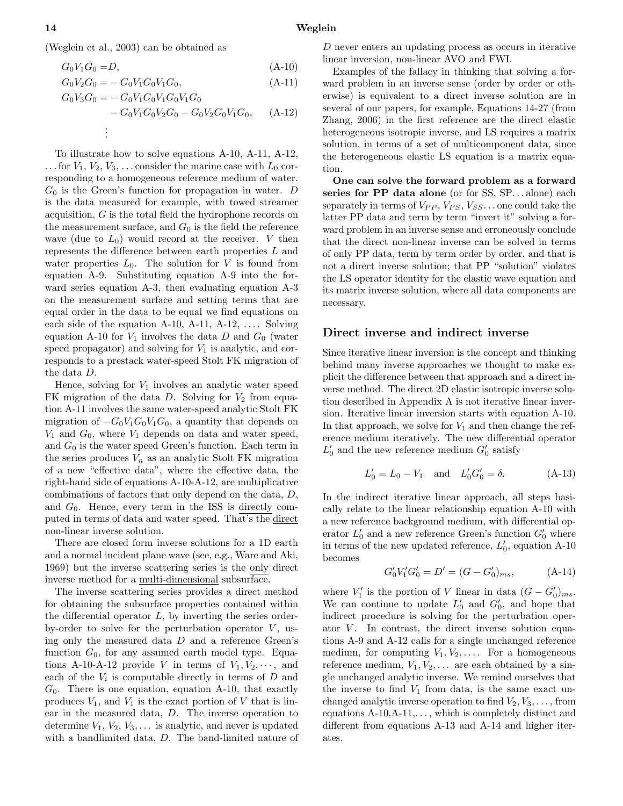(Weglein et al., 2003) can be obtained as

$$
G_0 V_1 G_0 = D,\tag{A-10}
$$

$$
G_0 V_2 G_0 = - G_0 V_1 G_0 V_1 G_0, \tag{A-11}
$$

$$
G_0 V_3 G_0 = - G_0 V_1 G_0 V_1 G_0 V_1 G_0
$$
  
- 
$$
G_0 V_1 G_0 V_2 G_0 - G_0 V_2 G_0 V_1 G_0,
$$
 (A-12)  
:

To illustrate how to solve equations A-10, A-11, A-12, ... for  $V_1, V_2, V_3, \ldots$  consider the marine case with  $L_0$  corresponding to a homogeneous reference medium of water.  $G_0$  is the Green's function for propagation in water. D is the data measured for example, with towed streamer acquisition, G is the total field the hydrophone records on the measurement surface, and  $G_0$  is the field the reference wave (due to  $L_0$ ) would record at the receiver. V then represents the difference between earth properties  $L$  and water properties  $L_0$ . The solution for V is found from equation A-9. Substituting equation A-9 into the forward series equation A-3, then evaluating equation A-3 on the measurement surface and setting terms that are equal order in the data to be equal we find equations on each side of the equation A-10, A-11, A-12,  $\dots$  Solving equation A-10 for  $V_1$  involves the data D and  $G_0$  (water speed propagator) and solving for  $V_1$  is analytic, and corresponds to a prestack water-speed Stolt FK migration of the data D.

Hence, solving for  $V_1$  involves an analytic water speed FK migration of the data  $D$ . Solving for  $V_2$  from equation A-11 involves the same water-speed analytic Stolt FK migration of  $-G_0V_1G_0V_1G_0$ , a quantity that depends on  $V_1$  and  $G_0$ , where  $V_1$  depends on data and water speed, and  $G_0$  is the water speed Green's function. Each term in the series produces  $V_n$  as an analytic Stolt FK migration of a new "effective data", where the effective data, the right-hand side of equations A-10-A-12, are multiplicative combinations of factors that only depend on the data, D, and  $G_0$ . Hence, every term in the ISS is directly computed in terms of data and water speed. That's the direct non-linear inverse solution.

There are closed form inverse solutions for a 1D earth and a normal incident plane wave (see, e.g., Ware and Aki, 1969) but the inverse scattering series is the only direct inverse method for a multi-dimensional subsurface.

The inverse scattering series provides a direct method for obtaining the subsurface properties contained within the differential operator  $L$ , by inverting the series orderby-order to solve for the perturbation operator  $V$ , using only the measured data D and a reference Green's function  $G_0$ , for any assumed earth model type. Equations A-10-A-12 provide V in terms of  $V_1, V_2, \dots$ , and each of the  $V_i$  is computable directly in terms of  $D$  and  $G_0$ . There is one equation, equation A-10, that exactly produces  $V_1$ , and  $V_1$  is the exact portion of V that is linear in the measured data, D. The inverse operation to determine  $V_1, V_2, V_3, \ldots$  is analytic, and never is updated with a bandlimited data, D. The band-limited nature of

D never enters an updating process as occurs in iterative linear inversion, non-linear AVO and FWI.

Examples of the fallacy in thinking that solving a forward problem in an inverse sense (order by order or otherwise) is equivalent to a direct inverse solution are in several of our papers, for example, Equations 14-27 (from Zhang, 2006) in the first reference are the direct elastic heterogeneous isotropic inverse, and LS requires a matrix solution, in terms of a set of multicomponent data, since the heterogeneous elastic LS equation is a matrix equation.

One can solve the forward problem as a forward series for PP data alone (or for SS, SP...alone) each separately in terms of  $V_{PP}$ ,  $V_{PS}$ ,  $V_{SS}$ ... one could take the latter PP data and term by term "invert it" solving a forward problem in an inverse sense and erroneously conclude that the direct non-linear inverse can be solved in terms of only PP data, term by term order by order, and that is not a direct inverse solution; that PP "solution" violates the LS operator identity for the elastic wave equation and its matrix inverse solution, where all data components are necessary.

## Direct inverse and indirect inverse

Since iterative linear inversion is the concept and thinking behind many inverse approaches we thought to make explicit the difference between that approach and a direct inverse method. The direct 2D elastic isotropic inverse solution described in Appendix A is not iterative linear inversion. Iterative linear inversion starts with equation A-10. In that approach, we solve for  $V_1$  and then change the reference medium iteratively. The new differential operator  $L'_0$  and the new reference medium  $G'_0$  satisfy

$$
L'_0 = L_0 - V_1 \quad \text{and} \quad L'_0 G'_0 = \delta. \tag{A-13}
$$

In the indirect iterative linear approach, all steps basically relate to the linear relationship equation A-10 with a new reference background medium, with differential operator  $L'_0$  and a new reference Green's function  $G'_0$  where in terms of the new updated reference,  $L'_0$ , equation A-10 becomes

$$
G_0'V_1'G_0' = D' = (G - G_0')_{ms}, \qquad (A-14)
$$

where  $V'_1$  is the portion of V linear in data  $(G - G'_0)_{ms}$ . We can continue to update  $L'_0$  and  $G'_0$ , and hope that indirect procedure is solving for the perturbation operator  $V$ . In contrast, the direct inverse solution equations A-9 and A-12 calls for a single unchanged reference medium, for computing  $V_1, V_2, \ldots$  For a homogeneous reference medium,  $V_1, V_2, \ldots$  are each obtained by a single unchanged analytic inverse. We remind ourselves that the inverse to find  $V_1$  from data, is the same exact unchanged analytic inverse operation to find  $V_2, V_3, \ldots$ , from equations  $A-10, A-11, \ldots$ , which is completely distinct and different from equations A-13 and A-14 and higher iterates.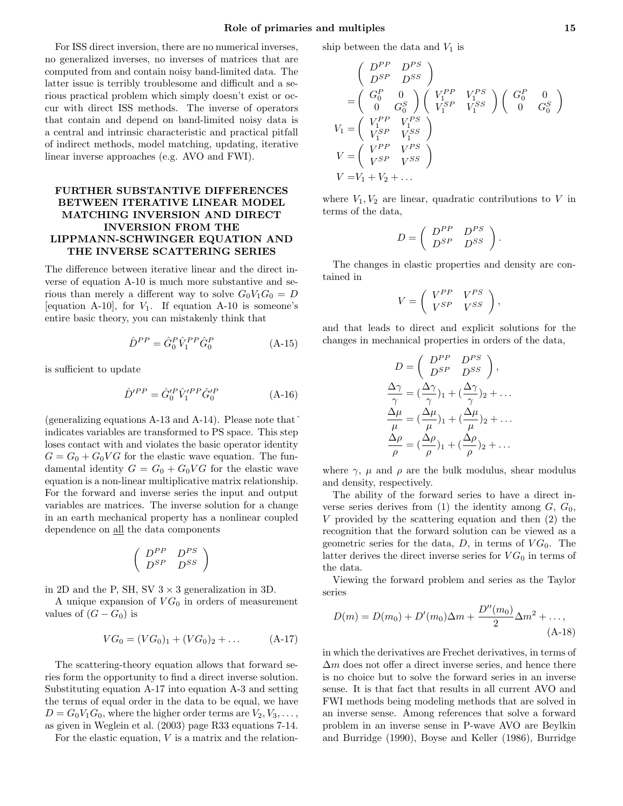For ISS direct inversion, there are no numerical inverses, no generalized inverses, no inverses of matrices that are computed from and contain noisy band-limited data. The latter issue is terribly troublesome and difficult and a serious practical problem which simply doesn't exist or occur with direct ISS methods. The inverse of operators that contain and depend on band-limited noisy data is a central and intrinsic characteristic and practical pitfall of indirect methods, model matching, updating, iterative linear inverse approaches (e.g. AVO and FWI).

# FURTHER SUBSTANTIVE DIFFERENCES BETWEEN ITERATIVE LINEAR MODEL MATCHING INVERSION AND DIRECT INVERSION FROM THE LIPPMANN-SCHWINGER EQUATION AND THE INVERSE SCATTERING SERIES

The difference between iterative linear and the direct inverse of equation A-10 is much more substantive and serious than merely a different way to solve  $G_0V_1G_0 = D$ [equation A-10], for  $V_1$ . If equation A-10 is someone's entire basic theory, you can mistakenly think that

$$
\hat{D}^{PP} = \hat{G}_0^P \hat{V}_1^{PP} \hat{G}_0^P
$$
 (A-15)

is sufficient to update

$$
\hat{D}'^{PP} = \hat{G}'^{P}_{0} \hat{V}'^{PP}_{1} \hat{G}'^{P}_{0} \tag{A-16}
$$

(generalizing equations A-13 and A-14). Please note that $\hat{}$ indicates variables are transformed to PS space. This step loses contact with and violates the basic operator identity  $G = G_0 + G_0 V G$  for the elastic wave equation. The fundamental identity  $G = G_0 + G_0VG$  for the elastic wave equation is a non-linear multiplicative matrix relationship. For the forward and inverse series the input and output variables are matrices. The inverse solution for a change in an earth mechanical property has a nonlinear coupled dependence on all the data components

$$
\left(\begin{array}{cc}D^{PP} & D^{PS} \\ D^{SP} & D^{SS}\end{array}\right)
$$

in 2D and the P, SH, SV  $3 \times 3$  generalization in 3D.

A unique expansion of  $VG_0$  in orders of measurement values of  $(G - G_0)$  is

$$
VG_0 = (VG_0)_1 + (VG_0)_2 + \dots \tag{A-17}
$$

The scattering-theory equation allows that forward series form the opportunity to find a direct inverse solution. Substituting equation A-17 into equation A-3 and setting the terms of equal order in the data to be equal, we have  $D = G_0 V_1 G_0$ , where the higher order terms are  $V_2, V_3, \ldots$ , as given in Weglein et al. (2003) page R33 equations 7-14.

For the elastic equation,  $V$  is a matrix and the relation-

ship between the data and  $V_1$  is

$$
\begin{pmatrix}\nD^{PP} & D^{PS} \\
D^{SP} & D^{SS}\n\end{pmatrix}
$$
\n
$$
= \begin{pmatrix}\nG_0^P & 0 \\
0 & G_0^S\n\end{pmatrix} \begin{pmatrix}\nV_1^{PP} & V_1^{PS} \\
V_1^{SP} & V_1^{SS}\n\end{pmatrix} \begin{pmatrix}\nG_0^P & 0 \\
0 & G_0^S\n\end{pmatrix}
$$
\n
$$
V_1 = \begin{pmatrix}\nV_1^{PP} & V_1^{PS} \\
V_1^{SP} & V_1^{SS}\n\end{pmatrix}
$$
\n
$$
V = \begin{pmatrix}\nV^{PP} & V^{PS} \\
V^{SP} & V^{SS}\n\end{pmatrix}
$$
\n
$$
V = V_1 + V_2 + ...
$$

where  $V_1, V_2$  are linear, quadratic contributions to V in terms of the data,

$$
D = \left( \begin{array}{cc} D^{PP} & D^{PS} \\ D^{SP} & D^{SS} \end{array} \right).
$$

The changes in elastic properties and density are contained in

$$
V = \left(\begin{array}{cc} V^{PP} & V^{PS} \\ V^{SP} & V^{SS} \end{array}\right),
$$

and that leads to direct and explicit solutions for the changes in mechanical properties in orders of the data,

$$
D = \begin{pmatrix} D^{PP} & D^{PS} \\ D^{SP} & D^{SS} \end{pmatrix},
$$
  
\n
$$
\frac{\Delta \gamma}{\gamma} = (\frac{\Delta \gamma}{\gamma})_1 + (\frac{\Delta \gamma}{\gamma})_2 + \dots
$$
  
\n
$$
\frac{\Delta \mu}{\mu} = (\frac{\Delta \mu}{\mu})_1 + (\frac{\Delta \mu}{\mu})_2 + \dots
$$
  
\n
$$
\frac{\Delta \rho}{\rho} = (\frac{\Delta \rho}{\rho})_1 + (\frac{\Delta \rho}{\rho})_2 + \dots
$$

where  $\gamma$ ,  $\mu$  and  $\rho$  are the bulk modulus, shear modulus and density, respectively.

The ability of the forward series to have a direct inverse series derives from (1) the identity among  $G, G_0$ , V provided by the scattering equation and then (2) the recognition that the forward solution can be viewed as a geometric series for the data,  $D$ , in terms of  $VG_0$ . The latter derives the direct inverse series for  $VG_0$  in terms of the data.

Viewing the forward problem and series as the Taylor series

$$
D(m) = D(m_0) + D'(m_0)\Delta m + \frac{D''(m_0)}{2}\Delta m^2 + ...,
$$
\n(A-18)

in which the derivatives are Frechet derivatives, in terms of  $\Delta m$  does not offer a direct inverse series, and hence there is no choice but to solve the forward series in an inverse sense. It is that fact that results in all current AVO and FWI methods being modeling methods that are solved in an inverse sense. Among references that solve a forward problem in an inverse sense in P-wave AVO are Beylkin and Burridge (1990), Boyse and Keller (1986), Burridge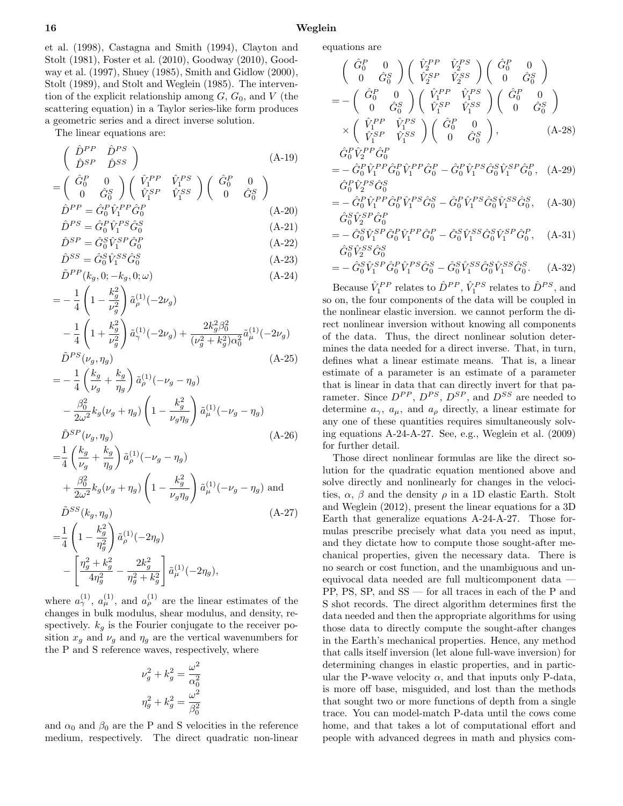et al. (1998), Castagna and Smith (1994), Clayton and Stolt (1981), Foster et al. (2010), Goodway (2010), Goodway et al. (1997), Shuey (1985), Smith and Gidlow (2000), Stolt (1989), and Stolt and Weglein (1985). The intervention of the explicit relationship among  $G, G_0$ , and V (the scattering equation) in a Taylor series-like form produces a geometric series and a direct inverse solution.

The linear equations are:

$$
\begin{pmatrix}\n\hat{D}^{PP} & \hat{D}^{PS} \\
\hat{D}^{SP} & \hat{D}^{SS}\n\end{pmatrix}
$$
\n
$$
= \begin{pmatrix}\n\hat{G}_0^P & 0 \\
0 & \hat{G}_0^S\n\end{pmatrix} \begin{pmatrix}\n\hat{V}_1^{PP} & \hat{V}_1^{PS} \\
\hat{V}_1^{SP} & \hat{V}_1^{SS}\n\end{pmatrix} \begin{pmatrix}\n\hat{G}_0^P & 0 \\
0 & \hat{G}_0^S\n\end{pmatrix}
$$
\n
$$
\hat{D}^{PP} = \hat{G}_0^P \hat{V}_1^{PP} \hat{G}_0^P
$$
\n
$$
\hat{D}^{PS} = \hat{G}_0^P \hat{V}_1^{PS} \hat{G}_0^S
$$
\n(A-21)

$$
\hat{D}^{SP} = \hat{G}_0^S \hat{V}_1^{SP} \hat{G}_0^P
$$
\n
$$
\hat{D}^{SP} = \hat{G}_0^S \hat{V}_1^{SP} \hat{G}_0^P
$$
\n(A-22)

$$
\hat{D}^{SS} = \hat{G}_0^S \hat{V}_1^{SS} \hat{G}_0^S
$$
\n
$$
\tilde{D}^{PP}(k_g, 0; -k_g, 0; \omega)
$$
\n(A-23)\n(A-24)

$$
= -\frac{1}{4} \left( 1 - \frac{k_g^2}{\nu_g^2} \right) \tilde{a}_{\rho}^{(1)}(-2\nu_g)
$$
  
 
$$
- \frac{1}{4} \left( 1 + \frac{k_g^2}{\nu_g^2} \right) \tilde{a}_{\gamma}^{(1)}(-2\nu_g) + \frac{2k_g^2 \beta_0^2}{(\nu_g^2 + k_g^2)\alpha_0^2} \tilde{a}_{\mu}^{(1)}(-2\nu_g)
$$
  
\n
$$
\tilde{D}^{PS}(\nu_g, \eta_g)
$$
 (A-25)

$$
= -\frac{1}{4} \left( \frac{k_g}{\nu_g} + \frac{k_g}{\eta_g} \right) \tilde{a}_{\rho}^{(1)}(-\nu_g - \eta_g) - \frac{\beta_0^2}{2\omega^2} k_g (\nu_g + \eta_g) \left( 1 - \frac{k_g^2}{\nu_g \eta_g} \right) \tilde{a}_{\mu}^{(1)}(-\nu_g - \eta_g) \tilde{D}^{SP}(\nu_g, \eta_g)
$$
\n(A-26)

$$
= \frac{1}{4} \left( \frac{k_g}{\nu_g} + \frac{k_g}{\eta_g} \right) \tilde{a}_{\rho}^{(1)}(-\nu_g - \eta_g)
$$
  
+ 
$$
\frac{\beta_0^2}{2\omega^2} k_g(\nu_g + \eta_g) \left( 1 - \frac{k_g^2}{\nu_g \eta_g} \right) \tilde{a}_{\mu}^{(1)}(-\nu_g - \eta_g) \text{ and}
$$
  

$$
\tilde{D}^{SS}(k_g, \eta_g) \tag{A-27}
$$

$$
=\frac{1}{4}\left(1-\frac{k_g^2}{\eta_g^2}\right)\tilde{a}_{\rho}^{(1)}(-2\eta_g) -\left[\frac{\eta_g^2+k_g^2}{4\eta_g^2}-\frac{2k_g^2}{\eta_g^2+k_g^2}\right]\tilde{a}_{\mu}^{(1)}(-2\eta_g),
$$

where  $a_{\gamma}^{(1)}$ ,  $a_{\mu}^{(1)}$ , and  $a_{\rho}^{(1)}$  are the linear estimates of the changes in bulk modulus, shear modulus, and density, respectively.  $k_g$  is the Fourier conjugate to the receiver position  $x_g$  and  $\nu_g$  and  $\eta_g$  are the vertical wavenumbers for the P and S reference waves, respectively, where

$$
\nu_g^2 + k_g^2 = \frac{\omega^2}{\alpha_0^2}
$$

$$
\eta_g^2 + k_g^2 = \frac{\omega^2}{\beta_0^2}
$$

and  $\alpha_0$  and  $\beta_0$  are the P and S velocities in the reference medium, respectively. The direct quadratic non-linear equations are

$$
\begin{pmatrix}\n\hat{G}_0^P & 0 \\
0 & \hat{G}_0^S\n\end{pmatrix}\n\begin{pmatrix}\n\hat{V}_2^{PP} & \hat{V}_2^{PS} \\
\hat{V}_2^{SP} & \hat{V}_2^{SS}\n\end{pmatrix}\n\begin{pmatrix}\n\hat{G}_0^P & 0 \\
0 & \hat{G}_0^S\n\end{pmatrix}
$$
\n
$$
= -\begin{pmatrix}\n\hat{G}_0^P & 0 \\
0 & \hat{G}_0^S\n\end{pmatrix}\n\begin{pmatrix}\n\hat{V}_1^{PP} & \hat{V}_1^{PS} \\
\hat{V}_1^{SP} & \hat{V}_1^{SS}\n\end{pmatrix}\n\begin{pmatrix}\n\hat{G}_0^P & 0 \\
0 & \hat{G}_0^S\n\end{pmatrix}
$$
\n
$$
\times \begin{pmatrix}\n\hat{V}_1^{PP} & \hat{V}_1^{PS} \\
\hat{V}_1^{SP} & \hat{V}_1^{SS}\n\end{pmatrix}\n\begin{pmatrix}\n\hat{G}_0^P & 0 \\
0 & \hat{G}_0^S\n\end{pmatrix},
$$
\n(A-28)\n
$$
\hat{G}_0^P \hat{V}_2^{PP} \hat{G}_0^P
$$

$$
G_0 V_2 G_0
$$
  
=  $-\hat{G}_0^P \hat{V}_1^{PP} \hat{G}_0^P \hat{V}_1^{PP} \hat{G}_0^P - \hat{G}_0^P \hat{V}_1^{PS} \hat{G}_0^S \hat{V}_1^{SP} \hat{G}_0^P$ , (A-29)  
 $\hat{G}_0^P \hat{V}_2^{PS} \hat{G}_0^S$ 

$$
= -\hat{G}_0^P \hat{V}_1^{PP} \hat{G}_0^P \hat{V}_1^{PS} \hat{G}_0^S - \hat{G}_0^P \hat{V}_1^{PS} \hat{G}_0^S \hat{V}_1^{SS} \hat{G}_0^S, \quad (A-30)
$$
  

$$
\hat{G}_0^S \hat{V}_2^{SP} \hat{G}_0^P
$$

$$
\begin{aligned}\n&\mathbf{G}_0 \mathbf{v}_2 \quad \mathbf{G}_0 \\
&= -\hat{G}_0^S \hat{V}_1^{SP} \hat{G}_0^P \hat{V}_1^{PP} \hat{G}_0^P - \hat{G}_0^S \hat{V}_1^{SS} \hat{G}_0^S \hat{V}_1^{SP} \hat{G}_0^P, \quad \text{(A-31)} \\
&\hat{G}_0^S \hat{V}_2^{SS} \hat{G}_0^S\n\end{aligned}
$$

$$
= -\hat{G}_0^S \hat{V}_1^{SP} \hat{G}_0^P \hat{V}_1^{PS} \hat{G}_0^S - \hat{G}_0^S \hat{V}_1^{SS} \hat{G}_0^S \hat{V}_1^{SS} \hat{G}_0^S. \tag{A-32}
$$

Because  $\hat{V}_1^{PP}$  relates to  $\hat{D}^{PP}$ ,  $\hat{V}_1^{PS}$  relates to  $\hat{D}^{PS}$ , and so on, the four components of the data will be coupled in the nonlinear elastic inversion. we cannot perform the direct nonlinear inversion without knowing all components of the data. Thus, the direct nonlinear solution determines the data needed for a direct inverse. That, in turn, defines what a linear estimate means. That is, a linear estimate of a parameter is an estimate of a parameter that is linear in data that can directly invert for that parameter. Since  $D^{PP}$ ,  $D^{PS}$ ,  $D^{SP}$ , and  $D^{SS}$  are needed to determine  $a_{\gamma}$ ,  $a_{\mu}$ , and  $a_{\rho}$  directly, a linear estimate for any one of these quantities requires simultaneously solving equations A-24-A-27. See, e.g., Weglein et al. (2009) for further detail.

Those direct nonlinear formulas are like the direct solution for the quadratic equation mentioned above and solve directly and nonlinearly for changes in the velocities,  $\alpha$ ,  $\beta$  and the density  $\rho$  in a 1D elastic Earth. Stolt and Weglein (2012), present the linear equations for a 3D Earth that generalize equations A-24-A-27. Those formulas prescribe precisely what data you need as input, and they dictate how to compute those sought-after mechanical properties, given the necessary data. There is no search or cost function, and the unambiguous and unequivocal data needed are full multicomponent data — PP, PS, SP, and SS — for all traces in each of the P and S shot records. The direct algorithm determines first the data needed and then the appropriate algorithms for using those data to directly compute the sought-after changes in the Earth's mechanical properties. Hence, any method that calls itself inversion (let alone full-wave inversion) for determining changes in elastic properties, and in particular the P-wave velocity  $\alpha$ , and that inputs only P-data, is more off base, misguided, and lost than the methods that sought two or more functions of depth from a single trace. You can model-match P-data until the cows come home, and that takes a lot of computational effort and people with advanced degrees in math and physics com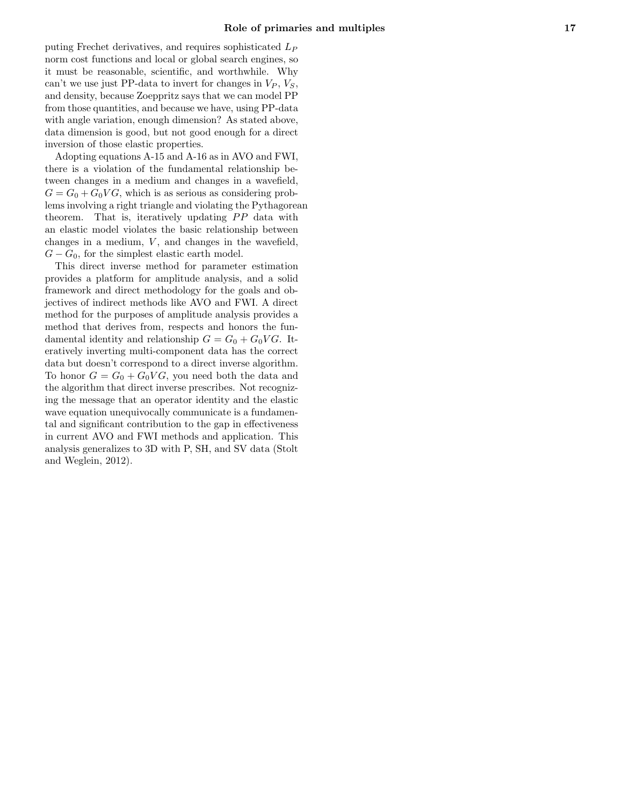puting Frechet derivatives, and requires sophisticated  $L_P$ norm cost functions and local or global search engines, so it must be reasonable, scientific, and worthwhile. Why can't we use just PP-data to invert for changes in  $V_P$ ,  $V_S$ , and density, because Zoeppritz says that we can model PP from those quantities, and because we have, using PP-data with angle variation, enough dimension? As stated above, data dimension is good, but not good enough for a direct inversion of those elastic properties.

Adopting equations A-15 and A-16 as in AVO and FWI, there is a violation of the fundamental relationship between changes in a medium and changes in a wavefield,  $G = G_0 + G_0 V G$ , which is as serious as considering problems involving a right triangle and violating the Pythagorean theorem. That is, iteratively updating  $PP$  data with an elastic model violates the basic relationship between changes in a medium,  $V$ , and changes in the wavefield,  $G - G_0$ , for the simplest elastic earth model.

This direct inverse method for parameter estimation provides a platform for amplitude analysis, and a solid framework and direct methodology for the goals and objectives of indirect methods like AVO and FWI. A direct method for the purposes of amplitude analysis provides a method that derives from, respects and honors the fundamental identity and relationship  $G = G_0 + G_0 V G$ . Iteratively inverting multi-component data has the correct data but doesn't correspond to a direct inverse algorithm. To honor  $G = G_0 + G_0VG$ , you need both the data and the algorithm that direct inverse prescribes. Not recognizing the message that an operator identity and the elastic wave equation unequivocally communicate is a fundamental and significant contribution to the gap in effectiveness in current AVO and FWI methods and application. This analysis generalizes to 3D with P, SH, and SV data (Stolt and Weglein, 2012).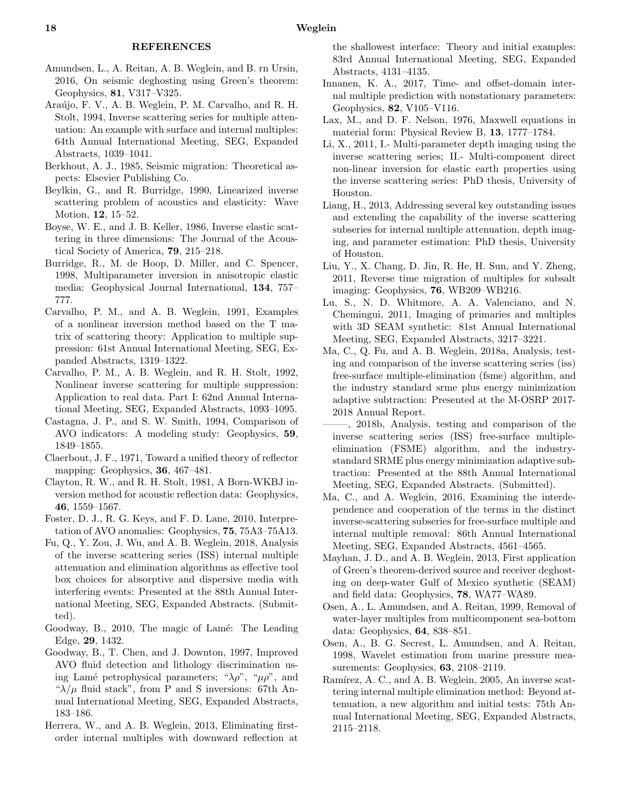- Amundsen, L., A. Reitan, A. B. Weglein, and B. rn Ursin, 2016, On seismic deghosting using Green's theorem: Geophysics, 81, V317–V325.
- Araújo, F. V., A. B. Weglein, P. M. Carvalho, and R. H. Stolt, 1994, Inverse scattering series for multiple attenuation: An example with surface and internal multiples: 64th Annual International Meeting, SEG, Expanded Abstracts, 1039–1041.
- Berkhout, A. J., 1985, Seismic migration: Theoretical aspects: Elsevier Publishing Co.
- Beylkin, G., and R. Burridge, 1990, Linearized inverse scattering problem of acoustics and elasticity: Wave Motion, 12, 15–52.
- Boyse, W. E., and J. B. Keller, 1986, Inverse elastic scattering in three dimensions: The Journal of the Acoustical Society of America, 79, 215–218.
- Burridge, R., M. de Hoop, D. Miller, and C. Spencer, 1998, Multiparameter inversion in anisotropic elastic media: Geophysical Journal International, 134, 757– 777.
- Carvalho, P. M., and A. B. Weglein, 1991, Examples of a nonlinear inversion method based on the T matrix of scattering theory: Application to multiple suppression: 61st Annual International Meeting, SEG, Expanded Abstracts, 1319–1322.
- Carvalho, P. M., A. B. Weglein, and R. H. Stolt, 1992, Nonlinear inverse scattering for multiple suppression: Application to real data. Part I: 62nd Annual International Meeting, SEG, Expanded Abstracts, 1093–1095.
- Castagna, J. P., and S. W. Smith, 1994, Comparison of AVO indicators: A modeling study: Geophysics, 59, 1849–1855.
- Claerbout, J. F., 1971, Toward a unified theory of reflector mapping: Geophysics, 36, 467–481.
- Clayton, R. W., and R. H. Stolt, 1981, A Born-WKBJ inversion method for acoustic reflection data: Geophysics, 46, 1559–1567.
- Foster, D. J., R. G. Keys, and F. D. Lane, 2010, Interpretation of AVO anomalies: Geophysics, 75, 75A3–75A13.
- Fu, Q., Y. Zou, J. Wu, and A. B. Weglein, 2018, Analysis of the inverse scattering series (ISS) internal multiple attenuation and elimination algorithms as effective tool box choices for absorptive and dispersive media with interfering events: Presented at the 88th Annual International Meeting, SEG, Expanded Abstracts. (Submitted).
- Goodway, B., 2010, The magic of Lamé: The Leading Edge, 29, 1432.
- Goodway, B., T. Chen, and J. Downton, 1997, Improved AVO fluid detection and lithology discrimination using Lamé petrophysical parameters; " $\lambda \rho$ ", " $\mu \rho$ ", and " $\lambda/\mu$  fluid stack", from P and S inversions: 67th Annual International Meeting, SEG, Expanded Abstracts, 183–186.
- Herrera, W., and A. B. Weglein, 2013, Eliminating firstorder internal multiples with downward reflection at

the shallowest interface: Theory and initial examples: 83rd Annual International Meeting, SEG, Expanded Abstracts, 4131–4135.

- Innanen, K. A., 2017, Time- and offset-domain internal multiple prediction with nonstationary parameters: Geophysics, 82, V105–V116.
- Lax, M., and D. F. Nelson, 1976, Maxwell equations in material form: Physical Review B, 13, 1777–1784.
- Li, X., 2011, I.- Multi-parameter depth imaging using the inverse scattering series; II.- Multi-component direct non-linear inversion for elastic earth properties using the inverse scattering series: PhD thesis, University of Houston.
- Liang, H., 2013, Addressing several key outstanding issues and extending the capability of the inverse scattering subseries for internal multiple attenuation, depth imaging, and parameter estimation: PhD thesis, University of Houston.
- Liu, Y., X. Chang, D. Jin, R. He, H. Sun, and Y. Zheng, 2011, Reverse time migration of multiples for subsalt imaging: Geophysics, 76, WB209–WB216.
- Lu, S., N. D. Whitmore, A. A. Valenciano, and N. Chemingui, 2011, Imaging of primaries and multiples with 3D SEAM synthetic: 81st Annual International Meeting, SEG, Expanded Abstracts, 3217–3221.
- Ma, C., Q. Fu, and A. B. Weglein, 2018a, Analysis, testing and comparison of the inverse scattering series (iss) free-surface multiple-elimination (fsme) algorithm, and the industry standard srme plus energy minimization adaptive subtraction: Presented at the M-OSRP 2017- 2018 Annual Report.
- ——–, 2018b, Analysis, testing and comparison of the inverse scattering series (ISS) free-surface multipleelimination (FSME) algorithm, and the industrystandard SRME plus energy minimization adaptive subtraction: Presented at the 88th Annual International Meeting, SEG, Expanded Abstracts. (Submitted).
- Ma, C., and A. Weglein, 2016, Examining the interdependence and cooperation of the terms in the distinct inverse-scattering subseries for free-surface multiple and internal multiple removal: 86th Annual International Meeting, SEG, Expanded Abstracts, 4561–4565.
- Mayhan, J. D., and A. B. Weglein, 2013, First application of Green's theorem-derived source and receiver deghosting on deep-water Gulf of Mexico synthetic (SEAM) and field data: Geophysics, 78, WA77–WA89.
- Osen, A., L. Amundsen, and A. Reitan, 1999, Removal of water-layer multiples from multicomponent sea-bottom data: Geophysics, 64, 838–851.
- Osen, A., B. G. Secrest, L. Amundsen, and A. Reitan, 1998, Wavelet estimation from marine pressure measurements: Geophysics, 63, 2108–2119.
- Ramírez, A. C., and A. B. Weglein, 2005, An inverse scattering internal multiple elimination method: Beyond attenuation, a new algorithm and initial tests: 75th Annual International Meeting, SEG, Expanded Abstracts, 2115–2118.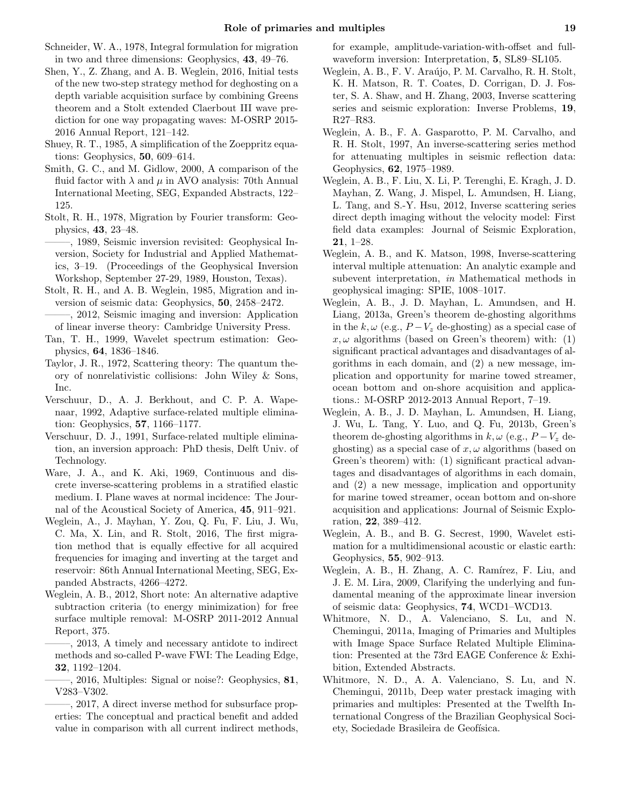- Schneider, W. A., 1978, Integral formulation for migration in two and three dimensions: Geophysics, 43, 49–76.
- Shen, Y., Z. Zhang, and A. B. Weglein, 2016, Initial tests of the new two-step strategy method for deghosting on a depth variable acquisition surface by combining Greens theorem and a Stolt extended Claerbout III wave prediction for one way propagating waves: M-OSRP 2015- 2016 Annual Report, 121–142.
- Shuey, R. T., 1985, A simplification of the Zoeppritz equations: Geophysics,  $50, 609-614$ .
- Smith, G. C., and M. Gidlow, 2000, A comparison of the fluid factor with  $\lambda$  and  $\mu$  in AVO analysis: 70th Annual International Meeting, SEG, Expanded Abstracts, 122– 125.
- Stolt, R. H., 1978, Migration by Fourier transform: Geophysics, 43, 23–48.
- ——–, 1989, Seismic inversion revisited: Geophysical Inversion, Society for Industrial and Applied Mathematics, 3–19. (Proceedings of the Geophysical Inversion Workshop, September 27-29, 1989, Houston, Texas).
- Stolt, R. H., and A. B. Weglein, 1985, Migration and inversion of seismic data: Geophysics, 50, 2458–2472.
- ——–, 2012, Seismic imaging and inversion: Application of linear inverse theory: Cambridge University Press.
- Tan, T. H., 1999, Wavelet spectrum estimation: Geophysics, 64, 1836–1846.
- Taylor, J. R., 1972, Scattering theory: The quantum theory of nonrelativistic collisions: John Wiley & Sons, Inc.
- Verschuur, D., A. J. Berkhout, and C. P. A. Wapenaar, 1992, Adaptive surface-related multiple elimination: Geophysics, 57, 1166–1177.
- Verschuur, D. J., 1991, Surface-related multiple elimination, an inversion approach: PhD thesis, Delft Univ. of Technology.
- Ware, J. A., and K. Aki, 1969, Continuous and discrete inverse-scattering problems in a stratified elastic medium. I. Plane waves at normal incidence: The Journal of the Acoustical Society of America, 45, 911–921.
- Weglein, A., J. Mayhan, Y. Zou, Q. Fu, F. Liu, J. Wu, C. Ma, X. Lin, and R. Stolt, 2016, The first migration method that is equally effective for all acquired frequencies for imaging and inverting at the target and reservoir: 86th Annual International Meeting, SEG, Expanded Abstracts, 4266–4272.
- Weglein, A. B., 2012, Short note: An alternative adaptive subtraction criteria (to energy minimization) for free surface multiple removal: M-OSRP 2011-2012 Annual Report, 375.
- ——–, 2013, A timely and necessary antidote to indirect methods and so-called P-wave FWI: The Leading Edge, 32, 1192–1204.
- ——–, 2016, Multiples: Signal or noise?: Geophysics, 81, V283–V302.
- ——–, 2017, A direct inverse method for subsurface properties: The conceptual and practical benefit and added value in comparison with all current indirect methods,

for example, amplitude-variation-with-offset and fullwaveform inversion: Interpretation, 5, SL89–SL105.

- Weglein, A. B., F. V. Araújo, P. M. Carvalho, R. H. Stolt, K. H. Matson, R. T. Coates, D. Corrigan, D. J. Foster, S. A. Shaw, and H. Zhang, 2003, Inverse scattering series and seismic exploration: Inverse Problems, 19, R27–R83.
- Weglein, A. B., F. A. Gasparotto, P. M. Carvalho, and R. H. Stolt, 1997, An inverse-scattering series method for attenuating multiples in seismic reflection data: Geophysics, 62, 1975–1989.
- Weglein, A. B., F. Liu, X. Li, P. Terenghi, E. Kragh, J. D. Mayhan, Z. Wang, J. Mispel, L. Amundsen, H. Liang, L. Tang, and S.-Y. Hsu, 2012, Inverse scattering series direct depth imaging without the velocity model: First field data examples: Journal of Seismic Exploration, 21, 1–28.
- Weglein, A. B., and K. Matson, 1998, Inverse-scattering interval multiple attenuation: An analytic example and subevent interpretation, in Mathematical methods in geophysical imaging: SPIE, 1008–1017.
- Weglein, A. B., J. D. Mayhan, L. Amundsen, and H. Liang, 2013a, Green's theorem de-ghosting algorithms in the k,  $\omega$  (e.g.,  $P-V_z$  de-ghosting) as a special case of  $x, \omega$  algorithms (based on Green's theorem) with: (1) significant practical advantages and disadvantages of algorithms in each domain, and (2) a new message, implication and opportunity for marine towed streamer, ocean bottom and on-shore acquisition and applications.: M-OSRP 2012-2013 Annual Report, 7–19.
- Weglein, A. B., J. D. Mayhan, L. Amundsen, H. Liang, J. Wu, L. Tang, Y. Luo, and Q. Fu, 2013b, Green's theorem de-ghosting algorithms in  $k, \omega$  (e.g.,  $P-V_z$  deghosting) as a special case of  $x, \omega$  algorithms (based on Green's theorem) with: (1) significant practical advantages and disadvantages of algorithms in each domain, and (2) a new message, implication and opportunity for marine towed streamer, ocean bottom and on-shore acquisition and applications: Journal of Seismic Exploration, 22, 389–412.
- Weglein, A. B., and B. G. Secrest, 1990, Wavelet estimation for a multidimensional acoustic or elastic earth: Geophysics, 55, 902–913.
- Weglein, A. B., H. Zhang, A. C. Ramírez, F. Liu, and J. E. M. Lira, 2009, Clarifying the underlying and fundamental meaning of the approximate linear inversion of seismic data: Geophysics, 74, WCD1–WCD13.
- Whitmore, N. D., A. Valenciano, S. Lu, and N. Chemingui, 2011a, Imaging of Primaries and Multiples with Image Space Surface Related Multiple Elimination: Presented at the 73rd EAGE Conference & Exhibition, Extended Abstracts.
- Whitmore, N. D., A. A. Valenciano, S. Lu, and N. Chemingui, 2011b, Deep water prestack imaging with primaries and multiples: Presented at the Twelfth International Congress of the Brazilian Geophysical Society, Sociedade Brasileira de Geofísica.